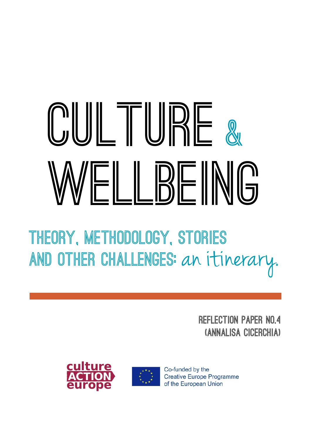# **CULTURE &WELLBEING**

**Theory, methodology, stories and other challenges:** an itinerary**.**

> **Reflection paper no.4 (Annalisa Cicerchia)**





Co-funded by the **Creative Europe Programme** of the European Union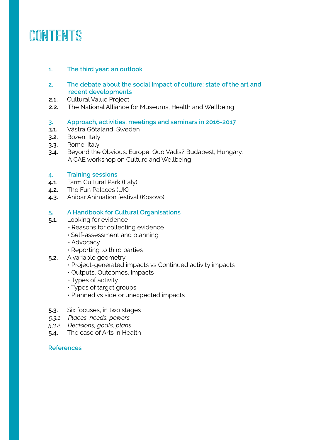# **Contents**

# **1. The third year: an outlook**

- **2. The debate about the social impact of culture: state of the art and recent developments**
- **2.1.** Cultural Value Project
- **2.2.** The National Alliance for Museums, Health and Wellbeing

# **3. Approach, activities, meetings and seminars in 2016-2017**

- **3.1.** Västra Götaland, Sweden
- **3.2.** Bozen, Italy
- **3.3.** Rome, Italy
- **3.4.** Beyond the Obvious: Europe, Quo Vadis? Budapest, Hungary. A CAE workshop on Culture and Wellbeing

# **4. Training sessions**

- **4.1.** Farm Cultural Park (Italy)
- **4.2.** The Fun Palaces (UK)
- **4.3.** Anibar Animation festival (Kosovo)

# **5. A Handbook for Cultural Organisations**

- **5.1.** Looking for evidence
	- Reasons for collecting evidence
	- Self-assessment and planning
	- Advocacy
	- Reporting to third parties
- **5.2.** A variable geometry
	- Project-generated impacts vs Continued activity impacts
	- Outputs, Outcomes, Impacts
	- Types of activity
	- Types of target groups
	- Planned vs side or unexpected impacts
- **5.3.** Six focuses, in two stages
- *5.3.1 Places, needs, powers*
- *5.3.2. Decisions, goals, plans*
- **5.4.** The case of Arts in Health

# **References**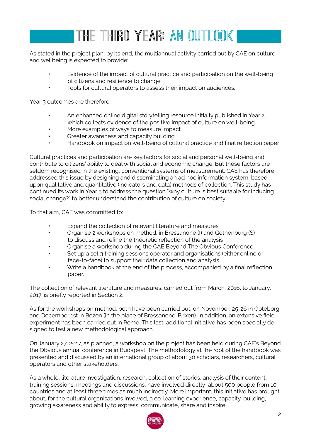# **The third year: an outlook**

As stated in the project plan, by its end, the multiannual activity carried out by CAE on culture and wellbeing is expected to provide:

- Evidence of the impact of cultural practice and participation on the well-being of citizens and resilience to change
- Tools for cultural operators to assess their impact on audiences.

Year 3 outcomes are therefore:

- An enhanced online digital storytelling resource initially published in Year 2, which collects evidence of the positive impact of culture on well-being.
- More examples of ways to measure impact
- Greater awareness and capacity building
- Handbook on impact on well-being of cultural practice and final reflection paper

Cultural practices and participation are key factors for social and personal well-being and contribute to citizens' ability to deal with social and economic change. But these factors are seldom recognised in the existing, conventional systems of measurement. CAE has therefore addressed this issue by designing and disseminating an ad hoc information system, based upon qualitative and quantitative (indicators and data) methods of collection. This study has continued its work in Year 3 to address the question "why culture is best suitable for inducing social change?" to better understand the contribution of culture on society.

To that aim, CAE was committed to:

- Expand the collection of relevant literature and measures
- Organise 2 workshops on method: in Bressanone (I) and Gothenburg (S) to discuss and refine the theoretic reflection of the analysis
- Organise a workshop during the CAE Beyond The Obvious Conference
- Set up a set 3 training sessions operator and organisations (either online or face-to-face) to support their data collection and analysis
- Write a handbook at the end of the process, accompanied by a final reflection paper.

The collection of relevant literature and measures, carried out from March, 2016, to January, 2017, is briefly reported in Section 2.

As for the workshops on method, both have been carried out, on November, 25-26 in Goteborg and December 1st in Bozen (in the place of Bressanone-Brixen). In addition, an extensive field experiment has been carried out in Rome. This last, additional initiative has been specially designed to test a new methodological approach.

On January 27, 2017, as planned, a workshop on the project has been held during CAE's Beyond the Obvious annual conference in Budapest. The methodology at the root of the handbook was presented and discussed by an international group of about 30 scholars, researchers, cultural operators and other stakeholders.

As a whole, literature investigation, research, collection of stories, analysis of their content, training sessions, meetings and discussions, have involved directly about 500 people from 10 countries and at least three times as much indirectly. More important, this initiative has brought about, for the cultural organisations involved, a co-learning experience, capacity-building, growing awareness and ability to express, communicate, share and inspire.

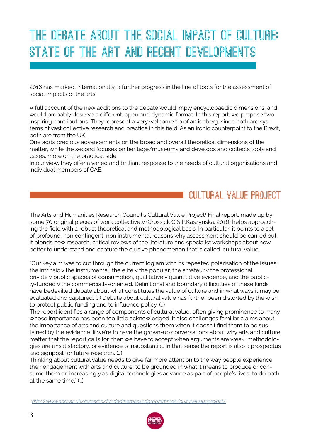# **The debate about the social impact of culture: state of the art and recent developments**

2016 has marked, internationally, a further progress in the line of tools for the assessment of social impacts of the arts.

A full account of the new additions to the debate would imply encyclopaedic dimensions, and would probably deserve a different, open and dynamic format. In this report, we propose two inspiring contributions. They represent a very welcome tip of an iceberg, since both are systems of vast collective research and practice in this field. As an ironic counterpoint to the Brexit, both are from the UK.

One adds precious advancements on the broad and overall theoretical dimensions of the matter, while the second focuses on heritage/museums and develops and collects tools and cases, more on the practical side.

In our view, they offer a varied and brilliant response to the needs of cultural organisations and individual members of CAE.

# CULTURAL VALUE PROJECT

The Arts and Humanities Research Council's Cultural Value Project<sup>1</sup> Final report, made up by some 70 original pieces of work collectively (Crossick G.& P.Kaszynska, 2016) helps approaching the field with a robust theoretical and methodological basis. In particular, it points to a set of profound, non contingent, non instrumental reasons why assessment should be carried out. It blends new research, critical reviews of the literature and specialist workshops about how better to understand and capture the elusive phenomenon that is called 'cultural value'.

"Our key aim was to cut through the current logjam with its repeated polarisation of the issues: the intrinsic v the instrumental, the elite v the popular, the amateur v the professional, private v public spaces of consumption, qualitative v quantitative evidence, and the publicly-funded v the commercially-oriented. Definitional and boundary difficulties of these kinds have bedevilled debate about what constitutes the value of culture and in what ways it may be evaluated and captured. (…) Debate about cultural value has further been distorted by the wish to protect public funding and to influence policy. (…)

The report identifies a range of components of cultural value, often giving prominence to many whose importance has been too little acknowledged. It also challenges familiar claims about the importance of arts and culture and questions them when it doesn't find them to be sustained by the evidence. If we're to have the grown-up conversations about why arts and culture matter that the report calls for, then we have to accept when arguments are weak, methodologies are unsatisfactory, or evidence is insubstantial. In that sense the report is also a prospectus and signpost for future research. (…)

Thinking about cultural value needs to give far more attention to the way people experience their engagement with arts and culture, to be grounded in what it means to produce or consume them or, increasingly as digital technologies advance as part of people's lives, to do both at the same time." (…)

*1 <http://www.ahrc.ac.uk/research/fundedthemesandprogrammes/culturalvalueproject/>*

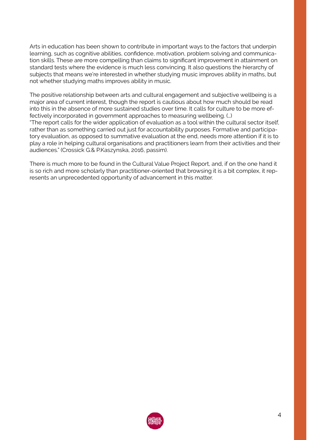Arts in education has been shown to contribute in important ways to the factors that underpin learning, such as cognitive abilities, confidence, motivation, problem solving and communication skills. These are more compelling than claims to significant improvement in attainment on standard tests where the evidence is much less convincing. It also questions the hierarchy of subjects that means we're interested in whether studying music improves ability in maths, but not whether studying maths improves ability in music.

The positive relationship between arts and cultural engagement and subjective wellbeing is a major area of current interest, though the report is cautious about how much should be read into this in the absence of more sustained studies over time. It calls for culture to be more effectively incorporated in government approaches to measuring wellbeing. (…)

"The report calls for the wider application of evaluation as a tool within the cultural sector itself, rather than as something carried out just for accountability purposes. Formative and participatory evaluation, as opposed to summative evaluation at the end, needs more attention if it is to play a role in helping cultural organisations and practitioners learn from their activities and their audiences." (Crossick G.& P.Kaszynska, 2016, passim).

There is much more to be found in the Cultural Value Project Report, and, if on the one hand it is so rich and more scholarly than practitioner-oriented that browsing it is a bit complex, it represents an unprecedented opportunity of advancement in this matter.

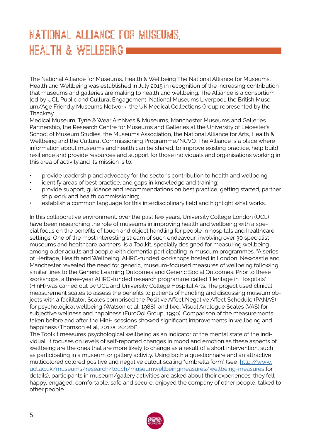# **National Alliance for Museums, Health & Wellbeing**

The National Alliance for Museums, Health & Wellbeing The National Alliance for Museums, Health and Wellbeing was established in July 2015 in recognition of the increasing contribution that museums and galleries are making to health and wellbeing. The Alliance is a consortium led by UCL Public and Cultural Engagement, National Museums Liverpool, the British Museum/Age Friendly Museums Network, the UK Medical Collections Group represented by the **Thackray** 

Medical Museum, Tyne & Wear Archives & Museums, Manchester Museums and Galleries Partnership, the Research Centre for Museums and Galleries at the University of Leicester's School of Museum Studies, the Museums Association, the National Alliance for Arts, Health & Wellbeing and the Cultural Commissioning Programme/NCVO. The Alliance is a place where information about museums and health can be shared, to improve existing practice, help build resilience and provide resources and support for those individuals and organisations working in this area of activity,and its mission is to:

- provide leadership and advocacy for the sector's contribution to health and wellbeing;
- identify areas of best practice, and gaps in knowledge and training;
- provide support, guidance and recommendations on best practice, getting started, partner ship work and health commissioning;
- establish a common language for this interdisciplinary field and highlight what works.

In this collaborative environment, over the past few years, University College London (UCL) have been researching the role of museums in improving health and wellbeing with a special focus on the benefits of touch and object handling for people in hospitals and healthcare settings. One of the most interesting stream of such endeavour, involving over 30 specialist museums and healthcare partners is a Toolkit, specially designed for measuring wellbeing among older adults and people with dementia participating in museum programmes. "A series of Heritage, Health and Wellbeing, AHRC-funded workshops hosted in London, Newcastle and Manchester revealed the need for generic, museum-focused measures of wellbeing following similar lines to the Generic Learning Outcomes and Generic Social Outcomes. Prior to these workshops, a three-year AHRC-funded research programme called 'Heritage in Hospitals' (HinH) was carried out by UCL and University College Hospital Arts. The project used clinical measurement scales to assess the benefits to patients of handling and discussing museum objects with a facilitator. Scales comprised the Positive Affect Negative Affect Schedule (PANAS) for psychological wellbeing (Watson et al, 1988), and two, Visual Analogue Scales (VAS) for subjective wellness and happiness (EuroQol Group, 1990). Comparison of the measurements taken before and after the HinH sessions showed significant improvements in wellbeing and happiness (Thomson et al, 2012a; 2012b)".

The Toolkit measures psychological wellbeing as an indicator of the mental state of the individual. It focuses on levels of self-reported changes in mood and emotion as these aspects of wellbeing are the ones that are more likely to change as a result of a short intervention, such as participating in a museum or gallery activity. Using both a questionnaire and an attractive multicolored colored positive and negative cutout scaling "umbrella form" (see [http://www.](http://www.ucl.ac.uk/museums/research/touch/museumwellbeingmeasures/wellbeing-measures) [ucl.ac.uk/museums/research/touch/museumwellbeingmeasures/wellbeing-measures](http://www.ucl.ac.uk/museums/research/touch/museumwellbeingmeasures/wellbeing-measures) for details), participants in museum/gallery activities are asked about their experiences: they felt happy, engaged, comfortable, safe and secure, enjoyed the company of other people, talked to other people.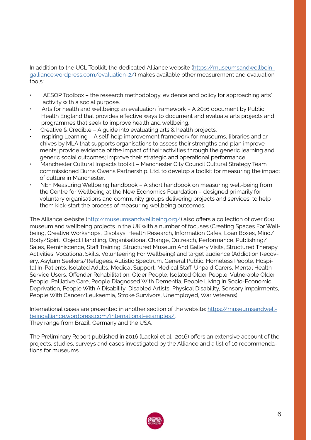In addition to the UCL Toolkit, the dedicated Alliance website ([https://museumsandwellbein](https://museumsandwellbeingalliance.wordpress.com/evaluation-2/)[galliance.wordpress.com/evaluation-2/\)](https://museumsandwellbeingalliance.wordpress.com/evaluation-2/) makes available other measurement and evaluation tools:

- AESOP Toolbox the research methodology, evidence and policy for approaching arts' activity with a social purpose.
- Arts for health and wellbeing: an evaluation framework A 2016 document by Public Health England that provides effective ways to document and evaluate arts projects and programmes that seek to improve health and wellbeing.
- Creative & Credible A guide into evaluating arts & health projects.
- Inspiring Learning A self-help improvement framework for museums, libraries and ar chives by MLA that supports organisations to assess their strengths and plan improve ments; provide evidence of the impact of their activities through the generic learning and generic social outcomes; improve their strategic and operational performance.
- Manchester Cultural Impacts toolkit Manchester City Council Cultural Strategy Team commissioned Burns Owens Partnership, Ltd. to develop a toolkit for measuring the impact of culture in Manchester.
- NEF Measuring Wellbeing handbook A short handbook on measuring well-being from the Centre for Wellbeing at the New Economics Foundation – designed primarily for voluntary organisations and community groups delivering projects and services, to help them kick-start the process of measuring wellbeing outcomes.

The Alliance website [\(http://museumsandwellbeing.org/](http://museumsandwellbeing.org/)) also offers a collection of over 600 museum and wellbeing projects in the UK with a number of focuses (Creating Spaces For Wellbeing, Creative Workshops, Displays, Health Research, Information Cafés, Loan Boxes, Mind/ Body/Spirit, Object Handling, Organisational Change, Outreach, Performance, Publishing/ Sales, Reminiscence, Staff Training, Structured Museum And Gallery Visits, Structured Therapy Activities, Vocational Skills, Volunteering For Wellbeing) and target audience (Addiction Recovery, Asylum Seekers/Refugees, Autistic Spectrum, General Public, Homeless People, Hospital In-Patients, Isolated Adults, Medical Support, Medical Staff, Unpaid Carers, Mental Health Service Users, Offender Rehabilitation, Older People, Isolated Older People, Vulnerable Older People, Palliative Care, People Diagnosed With Dementia, People Living In Socio-Economic Deprivation, People With A Disability, Disabled Artists, Physical Disability, Sensory Impairments, People With Cancer/Leukaemia, Stroke Survivors, Unemployed, War Veterans).

International cases are presented in another section of the website: [https://museumsandwell](https://museumsandwellbeingalliance.wordpress.com/international-examples/)[beingalliance.wordpress.com/international-examples/](https://museumsandwellbeingalliance.wordpress.com/international-examples/). They range from Brazil, Germany and the USA.

The Preliminary Report published in 2016 (Lackoi et al., 2016) offers an extensive account of the projects, studies, surveys and cases investigated by the Alliance and a list of 10 recommendations for museums.

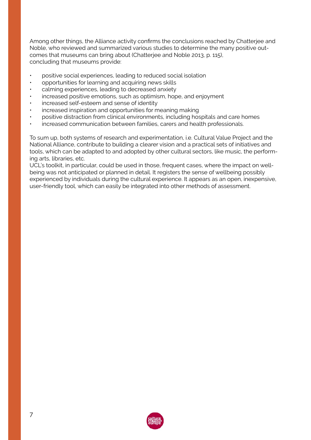Among other things, the Alliance activity confirms the conclusions reached by Chatterjee and Noble, who reviewed and summarized various studies to determine the many positive outcomes that museums can bring about (Chatterjee and Noble 2013, p. 115), concluding that museums provide:

- positive social experiences, leading to reduced social isolation
- opportunities for learning and acquiring news skills
- calming experiences, leading to decreased anxiety
- increased positive emotions, such as optimism, hope, and enjoyment
- increased self-esteem and sense of identity
- increased inspiration and opportunities for meaning making
- positive distraction from clinical environments, including hospitals and care homes
- increased communication between families, carers and health professionals.

To sum up, both systems of research and experimentation, i.e. Cultural Value Project and the National Alliance, contribute to building a clearer vision and a practical sets of initiatives and tools, which can be adapted to and adopted by other cultural sectors, like music, the performing arts, libraries, etc.

UCL's toolkit, in particular, could be used in those, frequent cases, where the impact on wellbeing was not anticipated or planned in detail. It registers the sense of wellbeing possibly experienced by individuals during the cultural experience. It appears as an open, inexpensive, user-friendly tool, which can easily be integrated into other methods of assessment.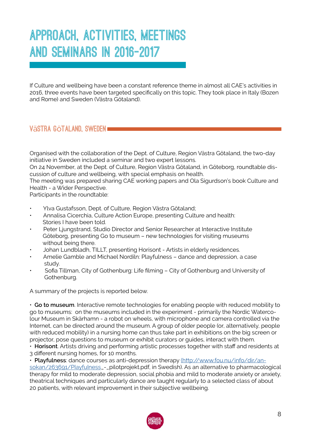# **Approach, activities, meetings and seminars in 2016-2017**

If Culture and wellbeing have been a constant reference theme in almost all CAE's activities in 2016, three events have been targeted specifically on this topic. They took place in Italy (Bozen and Rome) and Sweden (Västra Götaland).

# **V**ä**stra G**ö**taland, Sweden**

Organised with the collaboration of the Dept. of Culture, Region Västra Götaland, the two-day initiative in Sweden included a seminar and two expert lessons.

On 24 November, at the Dept. of Culture, Region Västra Götaland, in Göteborg, roundtable discussion of culture and wellbeing, with special emphasis on health.

The meeting was prepared sharing CAE working papers and Ola Sigurdson's book Culture and Health - a Wider Perspective.

Participants in the roundtable:

- Ylva Gustafsson, Dept. of Culture, Region Västra Götaland;
- Annalisa Cicerchia, Culture Action Europe, presenting Culture and health: Stories I have been told.
- Peter Ljungstrand, Studio Director and Senior Researcher at Interactive Institute Göteborg, presenting Go to museum – new technologies for visiting museums without being there.
- Johan Lundbladh, TILLT, presenting Horisont Artists in elderly residences.
- Amelie Gamble and Michael Nordiln: Playfulness dance and depression, a case study.
- Sofia Tillman, City of Gothenburg: Life filming City of Gothenburg and University of Gothenburg.

A summary of the projects is reported below.

• **Go to museum**. Interactive remote technologies for enabling people with reduced mobility to go to museums: on the museums included in the experiment - primarily the Nordic Watercolour Museum in Skärhamn - a robot on wheels, with microphone and camera controlled via the Internet, can be directed around the museum. A group of older people (or, alternatively, people with reduced mobility) in a nursing home can thus take part in exhibitions on the big screen or projector, pose questions to museum or exhibit curators or guides, interact with them.

• **Horisont**. Artists driving and performing artistic processes together with staff and residents at 3 different nursing homes, for 10 months.

• **Playfulness**: dance courses as anti-depression therapy ([http://www.fou.nu/info/dir/an]((http://www.fou.nu/info/dir/ansokan/263691/Playfulness)[sokan/263691/Playfulness]((http://www.fou.nu/info/dir/ansokan/263691/Playfulness)\_-\_pilotprojekt.pdf, in Swedish). As an alternative to pharmacological therapy for mild to moderate depression, social phobia and mild to moderate anxiety or anxiety, theatrical techniques and particularly dance are taught regularly to a selected class of about 20 patients, with relevant improvement in their subjective wellbeing.

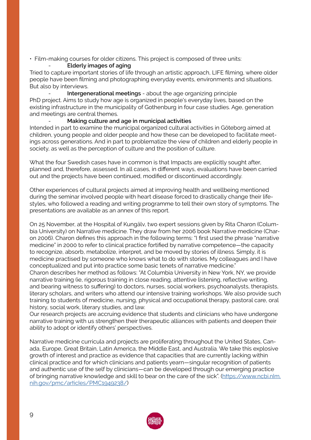• Film-making courses for older citizens. This project is composed of three units:

# - **Elderly images of aging**

Tried to capture important stories of life through an artistic approach, LIFE filming, where older people have been filming and photographing everyday events, environments and situations. But also by interviews.

- **Intergenerational meetings** - about the age organizing principle PhD project. Aims to study how age is organized in people's everyday lives, based on the existing infrastructure in the municipality of Gothenburg in four case studies. Age, generation and meetings are central themes.

# - **Making culture and age in municipal activities**

Intended in part to examine the municipal organized cultural activities in Göteborg aimed at children, young people and older people and how these can be developed to facilitate meetings across generations. And in part to problematize the view of children and elderly people in society, as well as the perception of culture and the position of culture.

What the four Swedish cases have in common is that Impacts are explicitly sought after, planned and, therefore, assessed. In all cases, in different ways, evaluations have been carried out and the projects have been continued, modified or discontinued accordingly.

Other experiences of cultural projects aimed at improving health and wellbeing mentioned during the seminar involved people with heart disease forced to drastically change their lifestyles, who followed a reading and writing programme to tell their own story of symptoms. The presentations are available as an annex of this report.

On 25 November, at the Hospital of Kungälv, two expert sessions given by Rita Charon (Columbia University) on Narrative medicine. They draw from her 2006 book Narrative medicine (Charon 2006). Charon defines this approach in the following terms: "I first used the phrase "narrative medicine" in 2000 to refer to clinical practice fortified by narrative competence—the capacity to recognize, absorb, metabolize, interpret, and be moved by stories of illness. Simply, it is medicine practised by someone who knows what to do with stories. My colleagues and I have conceptualized and put into practice some basic tenets of narrative medicine." Charon describes her method as follows: "At Columbia University in New York, NY, we provide narrative training (ie, rigorous training in close reading, attentive listening, reflective writing, and bearing witness to suffering) to doctors, nurses, social workers, psychoanalysts, therapists, literary scholars, and writers who attend our intensive training workshops. We also provide such training to students of medicine, nursing, physical and occupational therapy, pastoral care, oral history, social work, literary studies, and law.

Our research projects are accruing evidence that students and clinicians who have undergone narrative training with us strengthen their therapeutic alliances with patients and deepen their ability to adopt or identify others' perspectives.

Narrative medicine curricula and projects are proliferating throughout the United States, Canada, Europe, Great Britain, Latin America, the Middle East, and Australia. We take this explosive growth of interest and practice as evidence that capacities that are currently lacking within clinical practice and for which clinicians and patients yearn—singular recognition of patients and authentic use of the self by clinicians—can be developed through our emerging practice of bringing narrative knowledge and skill to bear on the care of the sick". ([https://www.ncbi.nlm.](https://www.ncbi.nlm.nih.gov/pmc/articles/PMC1949238/) [nih.gov/pmc/articles/PMC1949238/](https://www.ncbi.nlm.nih.gov/pmc/articles/PMC1949238/))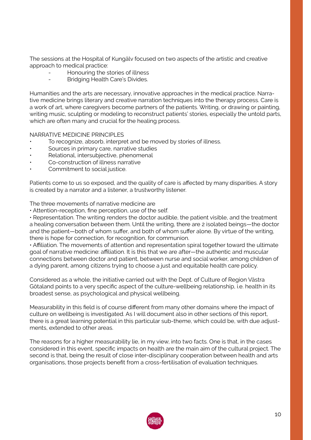The sessions at the Hospital of Kungälv focused on two aspects of the artistic and creative approach to medical practice:

- Honouring the stories of illness
- Bridging Health Care's Divides.

Humanities and the arts are necessary, innovative approaches in the medical practice. Narrative medicine brings literary and creative narration techniques into the therapy process. Care is a work of art, where caregivers become partners of the patients. Writing, or drawing or painting, writing music, sculpting or modeling to reconstruct patients' stories, especially the untold parts, which are often many and crucial for the healing process.

# NARRATIVE MEDICINE PRINCIPLES

- To recognize, absorb, interpret and be moved by stories of illness.
- Sources in primary care, narrative studies
- Relational, intersubjective, phenomenal
- Co-construction of illness narrative
- Commitment to social justice.

Patients come to us so exposed, and the quality of care is affected by many disparities. A story is created by a narrator and a listener, a trustworthy listener.

The three movements of narrative medicine are

• Attention-reception, fine perception, use of the self.

• Representation. The writing renders the doctor audible, the patient visible, and the treatment a healing conversation between them. Until the writing, there are 2 isolated beings—the doctor and the patient—both of whom suffer, and both of whom suffer alone. By virtue of the writing, there is hope for connection, for recognition, for communion.

• Affiliation. The movements of attention and representation spiral together toward the ultimate goal of narrative medicine: affiliation. It is this that we are after—the authentic and muscular connections between doctor and patient, between nurse and social worker, among children of a dying parent, among citizens trying to choose a just and equitable health care policy.

Considered as a whole, the initiative carried out with the Dept. of Culture of Region Västra Götaland points to a very specific aspect of the culture-wellbeing relationship, i.e. health in its broadest sense, as psychological and physical wellbeing.

Measurability in this field is of course different from many other domains where the impact of culture on wellbeing is investigated. As I will document also in other sections of this report, there is a great learning potential in this particular sub-theme, which could be, with due adjustments, extended to other areas.

The reasons for a higher measurability lie, in my view, into two facts. One is that, in the cases considered in this event, specific impacts on health are the main aim of the cultural project. The second is that, being the result of close inter-disciplinary cooperation between health and arts organisations, those projects benefit from a cross-fertilisation of evaluation techniques.

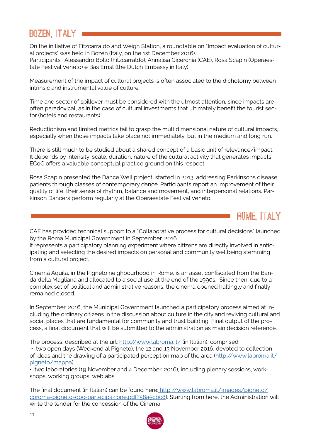# **Bozen, Italy**

On the initiative of Fitzcarraldo and Weigh Station, a roundtable on "Impact evaluation of cultural projects" was held in Bozen (Italy, on the 1st December 2016). Participants: Alessandro Bollo (Fitzcarraldo), Annalisa Cicerchia (CAE), Rosa Scapin (Operaestate Festival Veneto) e Bas Ernst (the Dutch Embassy in Italy).

Measurement of the impact of cultural projects is often associated to the dichotomy between intrinsic and instrumental value of culture.

Time and sector of spillover must be considered with the utmost attention, since impacts are often paradoxical, as in the case of cultural investments that ultimately benefit the tourist sector (hotels and restaurants).

Reductionism and limited metrics fail to grasp the multidimensional nature of cultural impacts, especially when those impacts take place not immediately, but in the medium and long run.

There is still much to be studied about a shared concept of a basic unit of relevance/impact. It depends by intensity, scale, duration, nature of the cultural activity that generates impacts. ECoC offers a valuable conceptual practice ground on this respect.

Rosa Scapin presented the Dance Well project, started in 2013, addressing Parkinsons disease patients through classes of contemporary dance. Participants report an improvement of their quality of life, their sense of rhythm, balance and movement, and interpersonal relations. Parkinson Dancers perform regularly at the Operaestate Festival Veneto.

CAE has provided technical support to a "Collaborative process for cultural decisions" launched by the Roma Municipal Government in September, 2016.

**ROME, Italy** 

It represents a participatory planning experiment where citizens are directly involved in anticipating and selecting the desired impacts on personal and community wellbeing stemming from a cultural project.

Cinema Aquila, in the Pigneto neighbourhood in Rome, is an asset confiscated from the Banda della Magliana and allocated to a social use at the end of the 1990s. Since then, due to a complex set of political and administrative reasons, the cinema opened haltingly and finally remained closed.

In September, 2016, the Municipal Government launched a participatory process aimed at including the ordinary citizens in the discussion about culture in the city and reviving cultural and social places that are fundamental for community and trust building. Final output of the process, a final document that will be submitted to the administration as main decision reference.

The process, described at the url:<http://www.labroma.it/>(in Italian), comprised: • two open days (Weekend al Pigneto), the 12 and 13 November 2016, devoted to collection of ideas and the drawing of a participated perception map of the area ([http://www.labroma.it/](http://www.labroma.it/pigneto/mappa) [pigneto/mappa\)](http://www.labroma.it/pigneto/mappa);

• two laboratories (19 November and 4 December, 2016), including plenary sessions, workshops, working groups, weblabs.

The final document (in Italian) can be found here: [http://www.labroma.it/images/pigneto/]( http://www.labroma.it/images/pigneto/coroma-pigneto-doc-partecipazione.pdf?58a5cbc8) [coroma-pigneto-doc-partecipazione.pdf?58a5cbc8]( http://www.labroma.it/images/pigneto/coroma-pigneto-doc-partecipazione.pdf?58a5cbc8)). Starting from here, the Administration will write the tender for the concession of the Cinema.

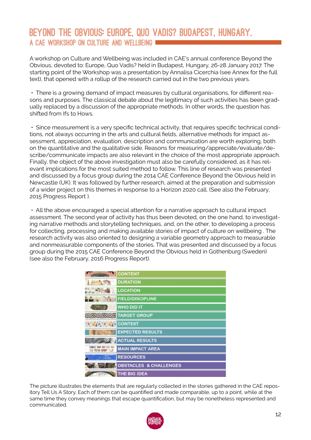# **Beyond the Obvious: Europe, Quo Vadis? Budapest, Hungary. A CAE Workshop on Culture and Wellbeing**

A workshop on Culture and Wellbeing was included in CAE's annual conference Beyond the Obvious, devoted to: Europe, Quo Vadis? held in Budapest, Hungary, 26-28 January 2017. The starting point of the Workshop was a presentation by Annalisa Cicerchia (see Annex for the full text), that opened with a rollup of the research carried out in the two previous years.

• There is a growing demand of impact measures by cultural organisations, for different reasons and purposes. The classical debate about the legitimacy of such activities has been gradually replaced by a discussion of the appropriate methods. In other words, the question has shifted from Ifs to Hows.

• Since measurement is a very specific technical activity, that requires specific technical conditions, not always occurring in the arts and cultural fields, alternative methods for impact assessment, appreciation, evaluation, description and communication are worth exploring, both on the quantitative and the qualitative side. Reasons for measuring/appreciate/evaluate/describe/communicate impacts are also relevant in the choice of the most appropriate approach. Finally, the object of the above investigation must also be carefully considered, as it has relevant implications for the most suited method to follow. This line of research was presented and discussed by a focus group during the 2014 CAE Conference Beyond the Obvious held in Newcastle (UK). It was followed by further research, aimed at the preparation and submission of a wider project on this themes in response to a Horizon 2020 call. (See also the February, 2015 Progress Report ).

• All the above encouraged a special attention for a narrative approach to cultural impact assessment. The second year of activity has thus been devoted, on the one hand, to investigating narrative methods and storytelling techniques, and, on the other, to developing a process for collecting, processing and making available stories of impact of culture on wellbeing . The research activity was also oriented to designing a variable geometry approach to measurable and nonmeasurable components of the stories. That was presented and discussed by a focus group during the 2015 CAE Conference Beyond the Obvious held in Gothenburg (Sweden) (see also the February, 2016 Progress Report).

|                       | CONTENT                 |
|-----------------------|-------------------------|
| 九下角                   | <b>DURATION</b>         |
| <b>LOCATION</b>       |                         |
| <b>All Street</b>     | <b>FIELD/DISCIPLINE</b> |
|                       | <b>WHO DID IT</b>       |
|                       | <b>TARGET GROUP</b>     |
| <b>CALCIO CONTEXT</b> |                         |
|                       | <b>EXPECTED RESULTS</b> |
|                       | <b>ACTUAL RESULTS</b>   |
| 25的 报酬 1.3            | <b>MAIN IMPACT AREA</b> |
| 'ಹತ್<br>'ಪಡಿತೆ        | <b>RESOURCES</b>        |
| <b>CAR YES ARE</b>    | OBSTACLES & CHALLENGES  |
|                       | <b>THE BIG IDEA</b>     |

The picture illustrates the elements that are regularly collected in the stories gathered in the CAE repository Tell Us A Story. Each of them can be quantified and made comparable, up to a point, while at the same time they convey meanings that escape quantification, but may be nonetheless represented and communicated.

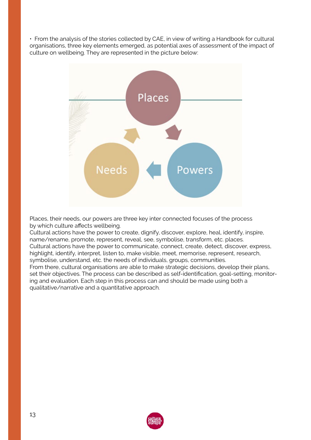• From the analysis of the stories collected by CAE, in view of writing a Handbook for cultural organisations, three key elements emerged, as potential axes of assessment of the impact of culture on wellbeing. They are represented in the picture below:



Places, their needs, our powers are three key inter connected focuses of the process by which culture affects wellbeing.

Cultural actions have the power to create, dignify, discover, explore, heal, identify, inspire, name/rename, promote, represent, reveal, see, symbolise, transform, etc. places. Cultural actions have the power to communicate, connect, create, detect, discover, express, highlight, identify, interpret, listen to, make visible, meet, memorise, represent, research, symbolise, understand, etc. the needs of individuals, groups, communities. From there, cultural organisations are able to make strategic decisions, develop their plans, set their objectives. The process can be described as self-identification, goal-setting, monitoring and evaluation. Each step in this process can and should be made using both a

qualitative/narrative and a quantitative approach.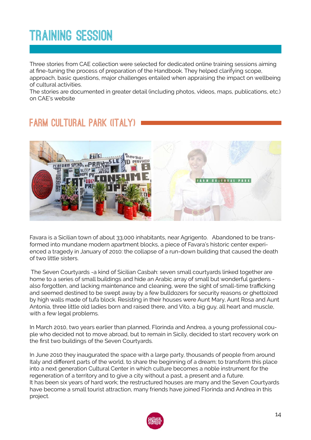# **TRaining session**

Three stories from CAE collection were selected for dedicated online training sessions aiming at fine-tuning the process of preparation of the Handbook. They helped clarifying scope, approach, basic questions, major challenges entailed when appraising the impact on wellbeing of cultural activities.

The stories are documented in greater detail (including photos, videos, maps, publications, etc.) on CAE's website

# **Farm Cultural Park (Italy)**



Favara is a Sicilian town of about 33,000 inhabitants, near Agrigento. Abandoned to be transformed into mundane modern apartment blocks, a piece of Favara's historic center experienced a tragedy in January of 2010: the collapse of a run-down building that caused the death of two little sisters.

 The Seven Courtyards -a kind of Sicilian Casbah: seven small courtyards linked together are home to a series of small buildings and hide an Arabic array of small but wonderful gardens also forgotten, and lacking maintenance and cleaning, were the sight of small-time trafficking and seemed destined to be swept away by a few bulldozers for security reasons or ghettoized by high walls made of tufa block. Resisting in their houses were Aunt Mary, Aunt Rosa and Aunt Antonia, three little old ladies born and raised there, and Vito, a big guy, all heart and muscle, with a few legal problems.

In March 2010, two years earlier than planned, Florinda and Andrea, a young professional couple who decided not to move abroad, but to remain in Sicily, decided to start recovery work on the first two buildings of the Seven Courtyards.

In June 2010 they inaugurated the space with a large party, thousands of people from around Italy and different parts of the world, to share the beginning of a dream; to transform this place into a next generation Cultural Center in which culture becomes a noble instrument for the regeneration of a territory and to give a city without a past, a present and a future. It has been six years of hard work; the restructured houses are many and the Seven Courtyards have become a small tourist attraction, many friends have joined Florinda and Andrea in this project.

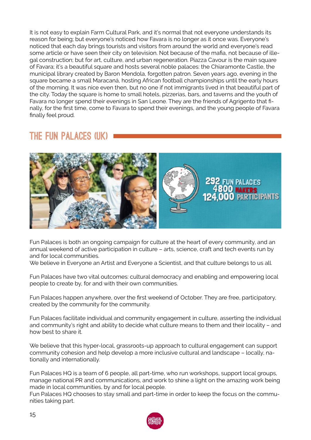It is not easy to explain Farm Cultural Park, and it's normal that not everyone understands its reason for being; but everyone's noticed how Favara is no longer as it once was. Everyone's noticed that each day brings tourists and visitors from around the world and everyone's read some article or have seen their city on television. Not because of the mafia, not because of illegal construction; but for art, culture, and urban regeneration. Piazza Cavour is the main square of Favara; it's a beautiful square and hosts several noble palaces: the Chiaramonte Castle, the municipal library created by Baron Mendola, forgotten patron. Seven years ago, evening in the square became a small Maracaná, hosting African football championships until the early hours of the morning. It was nice even then, but no one if not immigrants lived in that beautiful part of the city. Today the square is home to small hotels, pizzerias, bars, and taverns and the youth of Favara no longer spend their evenings in San Leone. They are the friends of Agrigento that finally, for the first time, come to Favara to spend their evenings, and the young people of Favara finally feel proud.

# **the fun palaces (uk)**



Fun Palaces is both an ongoing campaign for culture at the heart of every community, and an annual weekend of active participation in culture – arts, science, craft and tech events run by and for local communities.

We believe in Everyone an Artist and Everyone a Scientist, and that culture belongs to us all.

Fun Palaces have two vital outcomes: cultural democracy and enabling and empowering local people to create by, for and with their own communities.

Fun Palaces happen anywhere, over the first weekend of October. They are free, participatory, created by the community for the community.

Fun Palaces facilitate individual and community engagement in culture, asserting the individual and community's right and ability to decide what culture means to them and their locality – and how best to share it.

We believe that this hyper-local, grassroots-up approach to cultural engagement can support community cohesion and help develop a more inclusive cultural and landscape – locally, nationally and internationally.

Fun Palaces HQ is a team of 6 people, all part-time, who run workshops, support local groups, manage national PR and communications, and work to shine a light on the amazing work being made in local communities, by and for local people.

Fun Palaces HQ chooses to stay small and part-time in order to keep the focus on the communities taking part.

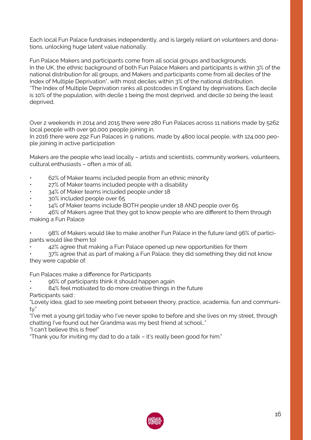Each local Fun Palace fundraises independently, and is largely reliant on volunteers and donations, unlocking huge latent value nationally.

Fun Palace Makers and participants come from all social groups and backgrounds. In the UK, the ethnic background of both Fun Palace Makers and participants is within 3% of the national distribution for all groups, and Makers and participants come from all deciles of the Index of Multiple Deprivation<sup>\*</sup>, with most deciles within 3% of the national distribution. \*The Index of Multiple Deprivation ranks all postcodes in England by deprivations. Each decile is 10% of the population, with decile 1 being the most deprived, and decile 10 being the least deprived.

Over 2 weekends in 2014 and 2015 there were 280 Fun Palaces across 11 nations made by 5262 local people with over 90,000 people joining in.

In 2016 there were 292 Fun Palaces in 9 nations, made by 4800 local people, with 124,000 people joining in active participation

Makers are the people who lead locally – artists and scientists, community workers, volunteers, cultural enthusiasts – often a mix of all.

- 62% of Maker teams included people from an ethnic minority
- 27% of Maker teams included people with a disability
- 34% of Maker teams included people under 18
- 30% included people over 65
- 14% of Maker teams include BOTH people under 18 AND people over 65

46% of Makers agree that they got to know people who are different to them through making a Fun Palace

• 98% of Makers would like to make another Fun Palace in the future (and 96% of participants would like them to)

• 42% agree that making a Fun Palace opened up new opportunities for them

• 37% agree that as part of making a Fun Palace, they did something they did not know they were capable of.

Fun Palaces make a difference for Participants

- 96% of participants think it should happen again
- 84% feel motivated to do more creative things in the future

Participants said :

"Lovely idea, glad to see meeting point between theory, practice, academia, fun and community."

"I've met a young girl today who I've never spoke to before and she lives on my street, through chatting I've found out her Grandma was my best friend at school…"

"I can't believe this is free!"

"Thank you for inviting my dad to do a talk – it's really been good for him."

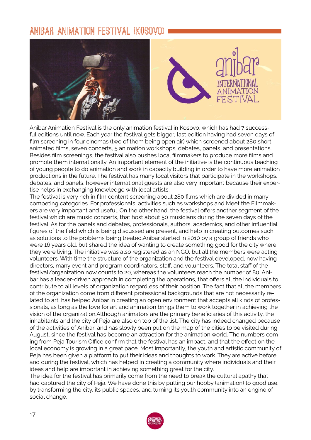# **Anibar animation festival (kosovo)**



Anibar Animation Festival is the only animation festival in Kosovo, which has had 7 successful editions until now. Each year the festival gets bigger, last edition having had seven days of film screening in four cinemas (two of them being open air) which screened about 280 short animated films, seven concerts, 5 animation workshops, debates, panels, and presentations. Besides film screenings, the festival also pushes local filmmakers to produce more films and promote them internationally. An important element of the initiative is the continuous teaching of young people to do animation and work in capacity building in order to have more animation productions in the future. The festival has many local visitors that participate in the workshops, debates, and panels, however international guests are also very important because their expertise helps in exchanging knowledge with local artists.

The festival is very rich in film content screening about 280 films which are divided in many competing categories. For professionals, activities such as workshops and Meet the Filmmakers are very important and useful. On the other hand, the festival offers another segment of the festival which are music concerts, that host about 50 musicians during the seven days of the festival. As for the panels and debates, professionals, authors, academics, and other influential figures of the field which is being discussed are present, and help in creating outcomes such as solutions to the problems being treated.Anibar started in 2010 by a group of friends who were 16 years old, but shared the idea of wanting to create something good for the city where they were living. The initiative was also registered as an NGO, but all the members were acting volunteers. With time the structure of the organization and the festival developed, now having directors, many event and program coordinators, staff, and volunteers. The total staff of the festival/organization now counts to 20, whereas the volunteers reach the number of 80. Anibar has a leader-driven approach in completing the operations, that offers all the individuals to contribute to all levels of organization regardless of their position. The fact that all the members of the organization come from different professional backgrounds that are not necessarily related to art, has helped Anibar in creating an open environment that accepts all kinds of professionals, as long as the love for art and animation brings them to work together in achieving the vision of the organization.Although animators are the primary beneficiaries of this activity, the inhabitants and the city of Peja are also on top of the list. The city has indeed changed because of the activities of Anibar, and has slowly been put on the map of the cities to be visited during August, since the festival has become an attraction for the animation world. The numbers coming from Peja Tourism Office confirm that the festival has an impact, and that the effect on the local economy is growing in a great pace. Most importantly, the youth and artistic community of Peja has been given a platform to put their ideas and thoughts to work. They are active before and during the festival, which has helped in creating a community where individuals and their ideas and help are important in achieving something great for the city.

The idea for the festival has primarily come from the need to break the cultural apathy that had captured the city of Peja. We have done this by putting our hobby (animation) to good use, by transforming the city, its public spaces, and turning its youth community into an engine of social change.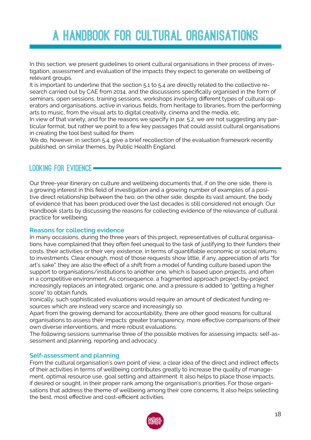# **A Handbook for Cultural Organisations**

In this section, we present guidelines to orient cultural organisations in their process of investigation, assessment and evaluation of the impacts they expect to generate on wellbeing of relevant groups.

It is important to underline that the section 5.1 to 5.4 are directly related to the collective research carried out by CAE from 2014, and the discussions specifically organised in the form of seminars, open sessions, training sessions, workshops involving different types of cultural operators and organisations, active in various fields, from heritage to libraries, from the performing arts to music, from the visual arts to digital creativity, cinema and the media, etc.

In view of that variety, and for the reasons we specify in par. 5.2, we are not suggesting any particular format, but rather we point to a few key passages that could assist cultural organisations in creating the tool best suited for them.

We do, however, in section 5.4, give a brief recollection of the evaluation framework recently published, on similar themes, by Public Health England.

# **Looking for evidence**

Our three-year itinerary on culture and wellbeing documents that, if on the one side, there is a growing interest in this field of investigation and a growing number of examples of a positive direct relationship between the two; on the other side, despite its vast amount, the body of evidence that has been produced over the last decades is still considered not enough. Our Handbook starts by discussing the reasons for collecting evidence of the relevance of cultural practice for wellbeing.

# **Reasons for collecting evidence**

In many occasions, during the three years of this project, representatives of cultural organisations have complained that they often feel unequal to the task of justifying to their funders their costs, their activities or their very existence, in terms of quantifiable economic or social returns to investments. Clear enough, most of those requests show little, if any, appreciation of arts "for art's sake". they are also the effect of a shift from a model of funding culture based upon the support to organisations/institutions to another one, which is based upon projects, and often in a competitive environment. As consequence, a fragmented approach project-by-project increasingly replaces an integrated, organic one, and a pressure is added to "getting a higher score" to obtain funds.

Ironically, such sophisticated evaluations would require an amount of dedicated funding resources which are instead very scarce and increasingly so.

Apart from the growing demand for accountability, there are other good reasons for cultural organisations to assess their impacts: greater transparency, more effective comparisons of their own diverse interventions, and more robust evaluations.

The following sessions summarise three of the possible motives for assessing impacts: self-assessment and planning, reporting and advocacy.

# **Self-assessment and planning**

From the cultural organisation's own point of view, a clear idea of the direct and indirect effects of their activities in terms of wellbeing contributes greatly to increase the quality of management, optimal resource use, goal setting and attainment. It also helps to place those impacts, if desired or sought, in their proper rank among the organisation's priorities. For those organisations that address the theme of wellbeing among their core concerns, It also helps selecting the best, most effective and cost-efficient activities.

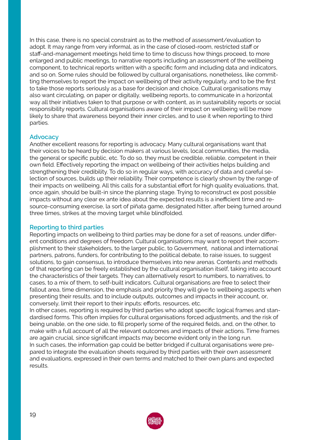In this case, there is no special constraint as to the method of assessment/evaluation to adopt. It may range from very informal, as in the case of closed-room, restricted staff or staff-and-management meetings held time to time to discuss how things proceed, to more enlarged and public meetings, to narrative reports including an assessment of the wellbeing component, to technical reports written with a specific form and including data and indicators, and so on. Some rules should be followed by cultural organisations, nonetheless, like committing themselves to report the impact on wellbeing of their activity regularly, and to be the first to take those reports seriously as a base for decision and choice. Cultural organisations may also want circulating, on paper or digitally, wellbeing reports, to communicate in a horizontal way all their initiatives taken to that purpose or with content, as in sustainability reports or social responsibility reports. Cultural organisations aware of their impact on wellbeing will be more likely to share that awareness beyond their inner circles, and to use it when reporting to third parties.

# **Advocacy**

Another excellent reasons for reporting is advocacy. Many cultural organisations want that their voices to be heard by decision makers at various levels, local communities, the media, the general or specific public, etc. To do so, they must be credible, reliable, competent in their own field. Effectively reporting the impact on wellbeing of their activities helps building and strengthening their credibility. To do so in regular ways, with accuracy of data and careful selection of sources, builds up their reliability. Their competence is clearly shown by the range of their impacts on wellbeing. All this calls for a substantial effort for high quality evaluations, that, once again, should be built-in since the planning stage. Trying to reconstruct ex post possible impacts without any clear ex ante idea about the expected results is a inefficient time and resource-consuming exercise, la sort of piñata game, designated hitter, after being turned around three times, strikes at the moving target while blindfolded.

# **Reporting to third parties**

Reporting impacts on wellbeing to third parties may be done for a set of reasons, under different conditions and degrees of freedom. Cultural organisations may want to report their accomplishment to their stakeholders, to the larger public, to Government, national and international partners, patrons, funders, for contributing to the political debate, to raise issues, to suggest solutions, to gain consensus, to introduce themselves into new arenas. Contents and methods of that reporting can be freely established by the cultural organisation itself, taking into account the characteristics of their targets. They can alternatively resort to numbers, to narratives, to cases, to a mix of them, to self-built indicators. Cultural organisations are free to select their fallout area, time dimension, the emphasis and priority they will give to wellbeing aspects when presenting their results, and to include outputs, outcomes and impacts in their account, or, conversely, limit their report to their inputs: efforts, resources, etc.

In other cases, reporting is required by third parties who adopt specific logical frames and standardised forms. This often implies for cultural organisations forced adjustments, and the risk of being unable, on the one side, to fill properly some of the required fields, and, on the other, to make with a full account of all the relevant outcomes and impacts of their actions. Time frames are again crucial, since significant impacts may become evident only in the long run. In such cases, the information gap could be better bridged if cultural organisations were prepared to integrate the evaluation sheets required by third parties with their own assessment and evaluations, expressed in their own terms and matched to their own plans and expected results.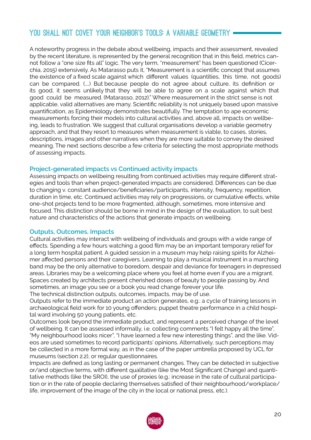# **You shall not covet your neighbor's tools: A variable geometry**

A noteworthy progress in the debate about wellbeing, impacts and their assessment, revealed by the recent literature, is represented by the general recognition that in this field, metrics cannot follow a "one size fits all" logic. The very term, "measurement" has been questioned (Cicerchia, 2015) extensively. As Matarasso puts it, "Measurement is a scientific concept that assumes the existence of a fixed scale against which different values (quantities, this time, not goods) can be compared. (....) But because people do not agree about culture, its definition or its good, it seems unlikely that they will be able to agree on a scale against which that good could be measured. (Matarasso, 2012)." Where measurement in the strict sense is not applicable, valid alternatives are many. Scientific reliability is not uniquely based upon massive quantification, as Epidemiology demonstrates beautifully. The temptation to ape economic measurements forcing their models into cultural activities and, above all, impacts on wellbeing, leads to frustration. We suggest that cultural organisations develop a variable geometry approach, and that they resort to measures when measurement is viable, to cases, stories, descriptions, images and other narratives when they are more suitable to convey the desired meaning. The next sections describe a few criteria for selecting the most appropriate methods of assessing impacts.

# **Project-generated impacts vs Continued activity impacts**

Assessing impacts on wellbeing resulting from continued activities may require different strategies and tools than when project-generated impacts are considered. Differences can be due to changing v. constant audience/beneficiaries/participants, intensity, frequency, repetition, duration in time, etc. Continued activities may rely on progressions, or cumulative effects, while one-shot projects tend to be more fragmented, although, sometimes, more intensive and focused. This distinction should be borne in mind in the design of the evaluation, to suit best nature and characteristics of the actions that generate impacts on wellbeing.

# **Outputs, Outcomes, Impacts**

Cultural activities may interact with wellbeing of individuals and groups with a wide range of effects. Spending a few hours watching a good film may be an important temporary relief for a long term hospital patient. A guided session in a museum may help raising spirits for Alzheimer affected persons and their caregivers. Learning to play a musical instrument in a marching band may be the only alternative to boredom, despair and deviance for teenagers in depressed areas. Libraries may be a welcoming place where you feel at home even if you are a migrant. Spaces created by architects present cherished doses of beauty to people passing by. And sometimes, an image you see or a book you read change forever your life.

The technical distinction outputs, outcomes, impacts, may be of use.

Outputs refer to the immediate product an action generates, e.g.: a cycle of training lessons in archaeological field work for 10 young offenders; puppet theatre performance in a child hospital ward involving 50 young patients, etc.

Outcomes look beyond the immediate product, and represent a perceived change of the level of wellbeing. It can be assessed informally, i.e. collecting comments "I felt happy all the time", "My neighbourhood looks nicer", "I have learned a few new interesting things", and the like. Videos are used sometimes to record participants' opinions. Alternatively, such perceptions may be collected in a more formal way, as in the case of the paper umbrella proposed by UCL for museums (section 2.2), or regular questionnaires.

Impacts are defined as long lasting or permanent changes. They can be detected in subjective or/and objective terms, with different qualitative (like the Most Significant Change) and quantitative methods (like the SROI), the use of proxies (e.g.: increase in the rate of cultural participation or in the rate of people declaring themselves satisfied of their neighbourhood/workplace/ life, improvement of the image of the city in the local or national press, etc.).

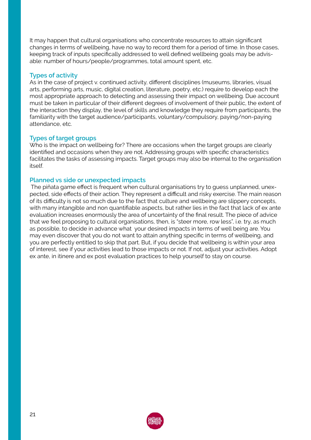It may happen that cultural organisations who concentrate resources to attain significant changes in terms of wellbeing, have no way to record them for a period of time. In those cases, keeping track of inputs specifically addressed to well defined wellbeing goals may be advisable: number of hours/people/programmes, total amount spent, etc.

# **Types of activity**

As in the case of project v. continued activity, different disciplines (museums, libraries, visual arts, performing arts, music, digital creation, literature, poetry, etc.) require to develop each the most appropriate approach to detecting and assessing their impact on wellbeing. Due account must be taken in particular of their different degrees of involvement of their public, the extent of the interaction they display, the level of skills and knowledge they require from participants, the familiarity with the target audience/participants, voluntary/compulsory, paying/non-paying attendance, etc.

# **Types of target groups**

Who is the impact on wellbeing for? There are occasions when the target groups are clearly identified and occasions when they are not. Addressing groups with specific characteristics facilitates the tasks of assessing impacts. Target groups may also be internal to the organisation itself.

# **Planned vs side or unexpected impacts**

The piñata game effect is frequent when cultural organisations try to guess unplanned, unexpected, side effects of their action. They represent a difficult and risky exercise. The main reason of its difficulty is not so much due to the fact that culture and wellbeing are slippery concepts, with many intangible and non quantifiable aspects, but rather lies in the fact that lack of ex ante evaluation increases enormously the area of uncertainty of the final result. The piece of advice that we feel proposing to cultural organisations, then, is "steer more, row less", i.e. try, as much as possible, to decide in advance what your desired impacts in terms of well being are. You may even discover that you do not want to attain anything specific in terms of wellbeing, and you are perfectly entitled to skip that part. But, if you decide that wellbeing is within your area of interest, see if your activities lead to those impacts or not. If not, adjust your activities. Adopt ex ante, in itinere and ex post evaluation practices to help yourself to stay on course.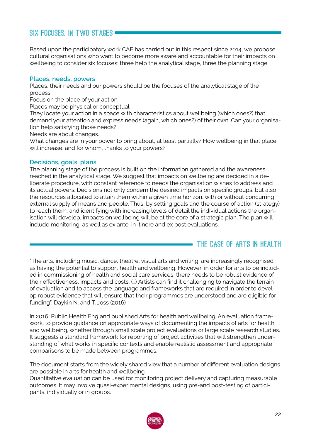# **Six focuses, in two stages**

Based upon the participatory work CAE has carried out in this respect since 2014, we propose cultural organisations who want to become more aware and accountable for their impacts on wellbeing to consider six focuses: three help the analytical stage, three the planning stage.

# **Places, needs, powers**

Places, their needs and our powers should be the focuses of the analytical stage of the process.

Focus on the place of your action.

Places may be physical or conceptual.

They locate your action in a space with characteristics about wellbeing (which ones?) that demand your attention and express needs (again, which ones?) of their own. Can your organisation help satisfying those needs?

Needs are about changes.

What changes are in your power to bring about, at least partially? How wellbeing in that place will increase, and for whom, thanks to your powers?

# **Decisions, goals, plans**

The planning stage of the process is built on the information gathered and the awareness reached in the analytical stage. We suggest that impacts on wellbeing are decided in a deliberate procedure, with constant reference to needs the organisation wishes to address and its actual powers. Decisions not only concern the desired impacts on specific groups, but also the resources allocated to attain them within a given time horizon, with or without concurring external supply of means and people. Thus, by setting goals and the course of action (strategy) to reach them, and identifying with increasing levels of detail the individual actions the organisation will develop, impacts on wellbeing will be at the core of a strategic plan. The plan will include monitoring, as well as ex ante, in itinere and ex post evaluations.

# **The case of Arts in Health**

"The arts, including music, dance, theatre, visual arts and writing, are increasingly recognised as having the potential to support health and wellbeing. However, in order for arts to be included in commissioning of health and social care services, there needs to be robust evidence of their effectiveness, impacts and costs. (…) Artists can find it challenging to navigate the terrain of evaluation and to access the language and frameworks that are required in order to develop robust evidence that will ensure that their programmes are understood and are eligible for funding". Daykin N. and T. Joss (2016)

In 2016, Public Health England published Arts for health and wellbeing. An evaluation framework, to provide guidance on appropriate ways of documenting the impacts of arts for health and wellbeing, whether through small scale project evaluations or large scale research studies. It suggests a standard framework for reporting of project activities that will strengthen understanding of what works in specific contexts and enable realistic assessment and appropriate comparisons to be made between programmes.

The document starts from the widely shared view that a number of different evaluation designs are possible in arts for health and wellbeing.

Quantitative evaluation can be used for monitoring project delivery and capturing measurable outcomes. It may involve quasi-experimental designs, using pre-and post-testing of participants, individually or in groups.

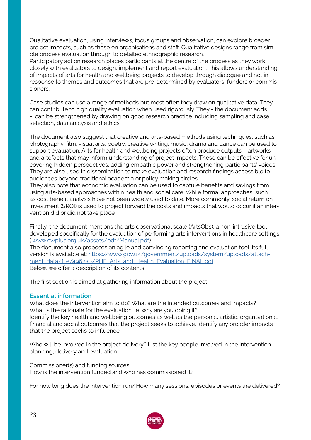Qualitative evaluation, using interviews, focus groups and observation, can explore broader project impacts, such as those on organisations and staff. Qualitative designs range from simple process evaluation through to detailed ethnographic research.

Participatory action research places participants at the centre of the process as they work closely with evaluators to design, implement and report evaluation. This allows understanding of impacts of arts for health and wellbeing projects to develop through dialogue and not in response to themes and outcomes that are pre-determined by evaluators, funders or commissioners.

Case studies can use a range of methods but most often they draw on qualitative data. They can contribute to high quality evaluation when used rigorously. They - the document adds - can be strengthened by drawing on good research practice including sampling and case selection, data analysis and ethics.

The document also suggest that creative and arts-based methods using techniques, such as photography, film, visual arts, poetry, creative writing, music, drama and dance can be used to support evaluation. Arts for health and wellbeing projects often produce outputs – artworks and artefacts that may inform understanding of project impacts. These can be effective for uncovering hidden perspectives, adding empathic power and strengthening participants' voices. They are also used in dissemination to make evaluation and research findings accessible to audiences beyond traditional academia or policy making circles.

They also note that economic evaluation can be used to capture benefits and savings from using arts-based approaches within health and social care. While formal approaches, such as cost benefit analysis have not been widely used to date. More commonly, social return on investment (SROI) is used to project forward the costs and impacts that would occur if an intervention did or did not take place.

Finally, the document mentions the arts observational scale (ArtsObs), a non-intrusive tool developed specifically for the evaluation of performing arts interventions in healthcare settings ( [www.cwplus.org.uk/assets/pdf/Manual.pdf](http://www.cwplus.org.uk/assets/pdf/Manual.pdf)).

The document also proposes an agile and convincing reporting and evaluation tool. Its full version is available at: [https://www.gov.uk/government/uploads/system/uploads/attach](https://www.gov.uk/government/uploads/system/uploads/attachment_data/file/496230/PHE_Arts_and_Health)[ment\\_data/file/496230/PHE\\_Arts\\_and\\_Health\\_Evaluation\\_FINAL.pdf](https://www.gov.uk/government/uploads/system/uploads/attachment_data/file/496230/PHE_Arts_and_Health) Below, we offer a description of its contents.

The first section is aimed at gathering information about the project.

# **Essential information**

What does the intervention aim to do? What are the intended outcomes and impacts? What is the rationale for the evaluation, ie, why are you doing it? Identify the key health and wellbeing outcomes as well as the personal, artistic, organisational, financial and social outcomes that the project seeks to achieve. Identify any broader impacts that the project seeks to influence.

Who will be involved in the project delivery? List the key people involved in the intervention planning, delivery and evaluation.

Commissioner(s) and funding sources How is the intervention funded and who has commissioned it?

For how long does the intervention run? How many sessions, episodes or events are delivered?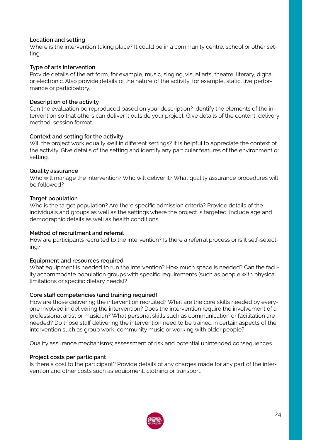# **Location and setting**

Where is the intervention taking place? It could be in a community centre, school or other setting.

# **Type of arts intervention**

Provide details of the art form, for example, music, singing, visual arts, theatre, literary, digital or electronic. Also provide details of the nature of the activity: for example, static, live performance or participatory.

# **Description of the activity**

Can the evaluation be reproduced based on your description? Identify the elements of the intervention so that others can deliver it outside your project. Give details of the content, delivery method, session format.

# **Context and setting for the activity**

Will the project work equally well in different settings? It is helpful to appreciate the context of the activity. Give details of the setting and identify any particular features of the environment or setting.

# **Quality assurance**

Who will manage the intervention? Who will deliver it? What quality assurance procedures will be followed?

# **Target population**

Who is the target population? Are there specific admission criteria? Provide details of the individuals and groups as well as the settings where the project is targeted. Include age and demographic details as well as health conditions.

## **Method of recruitment and referral**

How are participants recruited to the intervention? Is there a referral process or is it self-selecting?

## **Equipment and resources required**

What equipment is needed to run the intervention? How much space is needed? Can the facility accommodate population groups with specific requirements (such as people with physical limitations or specific dietary needs)?

## **Core staff competencies (and training required)**

How are those delivering the intervention recruited? What are the core skills needed by everyone involved in delivering the intervention? Does the intervention require the involvement of a professional artist or musician? What personal skills such as communication or facilitation are needed? Do those staff delivering the intervention need to be trained in certain aspects of the intervention such as group work, community music or working with older people?

Quality assurance mechanisms; assessment of risk and potential unintended consequences.

## **Project costs per participant**

Is there a cost to the participant? Provide details of any charges made for any part of the intervention and other costs such as equipment, clothing or transport.

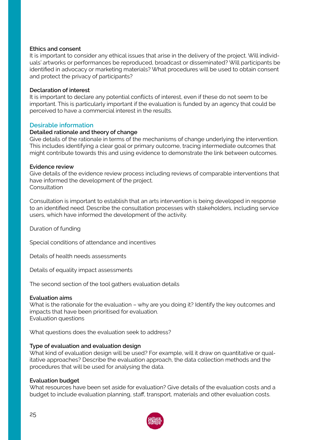## **Ethics and consent**

It is important to consider any ethical issues that arise in the delivery of the project. Will individuals' artworks or performances be reproduced, broadcast or disseminated? Will participants be identified in advocacy or marketing materials? What procedures will be used to obtain consent and protect the privacy of participants?

## **Declaration of interest**

It is important to declare any potential conflicts of interest, even if these do not seem to be important. This is particularly important if the evaluation is funded by an agency that could be perceived to have a commercial interest in the results.

# **Desirable information**

## **Detailed rationale and theory of change**

Give details of the rationale in terms of the mechanisms of change underlying the intervention. This includes identifying a clear goal or primary outcome, tracing intermediate outcomes that might contribute towards this and using evidence to demonstrate the link between outcomes.

#### **Evidence review**

Give details of the evidence review process including reviews of comparable interventions that have informed the development of the project. **Consultation** 

Consultation is important to establish that an arts intervention is being developed in response to an identified need. Describe the consultation processes with stakeholders, including service users, which have informed the development of the activity.

Duration of funding

Special conditions of attendance and incentives

Details of health needs assessments

Details of equality impact assessments

The second section of the tool gathers evaluation details

## **Evaluation aims**

What is the rationale for the evaluation – why are you doing it? Identify the key outcomes and impacts that have been prioritised for evaluation. Evaluation questions

What questions does the evaluation seek to address?

## **Type of evaluation and evaluation design**

What kind of evaluation design will be used? For example, will it draw on quantitative or qualitative approaches? Describe the evaluation approach, the data collection methods and the procedures that will be used for analysing the data.

## **Evaluation budget**

What resources have been set aside for evaluation? Give details of the evaluation costs and a budget to include evaluation planning, staff, transport, materials and other evaluation costs.

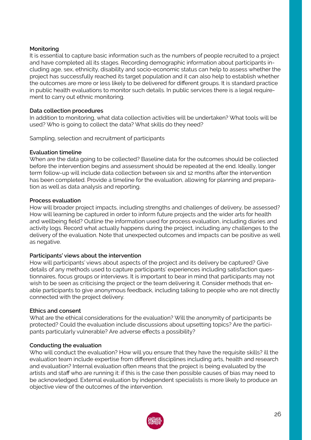# **Monitoring**

It is essential to capture basic information such as the numbers of people recruited to a project and have completed all its stages. Recording demographic information about participants including age, sex, ethnicity, disability and socio-economic status can help to assess whether the project has successfully reached its target population and it can also help to establish whether the outcomes are more or less likely to be delivered for different groups. It is standard practice in public health evaluations to monitor such details. In public services there is a legal requirement to carry out ethnic monitoring.

## **Data collection procedures**

In addition to monitoring, what data collection activities will be undertaken? What tools will be used? Who is going to collect the data? What skills do they need?

Sampling, selection and recruitment of participants

# **Evaluation timeline**

When are the data going to be collected? Baseline data for the outcomes should be collected before the intervention begins and assessment should be repeated at the end. Ideally, longer term follow-up will include data collection between six and 12 months after the intervention has been completed. Provide a timeline for the evaluation, allowing for planning and preparation as well as data analysis and reporting.

## **Process evaluation**

How will broader project impacts, including strengths and challenges of delivery, be assessed? How will learning be captured in order to inform future projects and the wider arts for health and wellbeing field? Outline the information used for process evaluation, including diaries and activity logs. Record what actually happens during the project, including any challenges to the delivery of the evaluation. Note that unexpected outcomes and impacts can be positive as well as negative.

## **Participants' views about the intervention**

How will participants' views about aspects of the project and its delivery be captured? Give details of any methods used to capture participants' experiences including satisfaction questionnaires, focus groups or interviews. It is important to bear in mind that participants may not wish to be seen as criticising the project or the team delivering it. Consider methods that enable participants to give anonymous feedback, including talking to people who are not directly connected with the project delivery.

## **Ethics and consent**

What are the ethical considerations for the evaluation? Will the anonymity of participants be protected? Could the evaluation include discussions about upsetting topics? Are the participants particularly vulnerable? Are adverse effects a possibility?

## **Conducting the evaluation**

Who will conduct the evaluation? How will you ensure that they have the requisite skills? ill the evaluation team include expertise from different disciplines including arts, health and research and evaluation? Internal evaluation often means that the project is being evaluated by the artists and staff who are running it: if this is the case then possible causes of bias may need to be acknowledged. External evaluation by independent specialists is more likely to produce an objective view of the outcomes of the intervention.

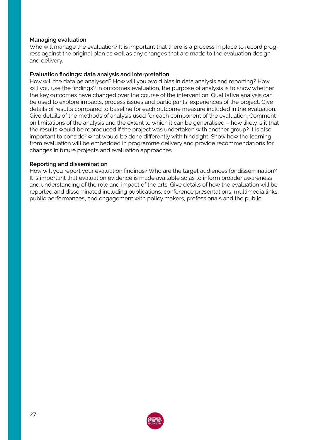# **Managing evaluation**

Who will manage the evaluation? It is important that there is a process in place to record progress against the original plan as well as any changes that are made to the evaluation design and delivery.

# **Evaluation findings: data analysis and interpretation**

How will the data be analysed? How will you avoid bias in data analysis and reporting? How will you use the findings? In outcomes evaluation, the purpose of analysis is to show whether the key outcomes have changed over the course of the intervention. Qualitative analysis can be used to explore impacts, process issues and participants' experiences of the project. Give details of results compared to baseline for each outcome measure included in the evaluation. Give details of the methods of analysis used for each component of the evaluation. Comment on limitations of the analysis and the extent to which it can be generalised – how likely is it that the results would be reproduced if the project was undertaken with another group? It is also important to consider what would be done differently with hindsight. Show how the learning from evaluation will be embedded in programme delivery and provide recommendations for changes in future projects and evaluation approaches.

## **Reporting and dissemination**

How will you report your evaluation findings? Who are the target audiences for dissemination? It is important that evaluation evidence is made available so as to inform broader awareness and understanding of the role and impact of the arts. Give details of how the evaluation will be reported and disseminated including publications, conference presentations, multimedia links, public performances, and engagement with policy makers, professionals and the public

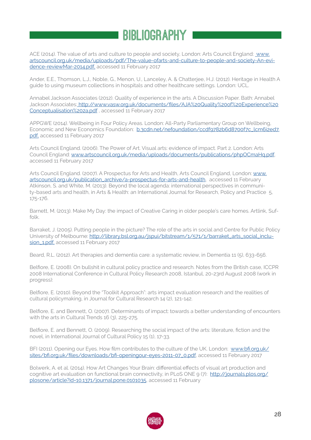# **Bibliography**

ACE (2014). The value of arts and culture to people and society, London: Arts Council England: [www.](http:// www.artscouncil.org.uk/media/uploads/pdf/The-value-ofarts-and-culture-to-people-and-society-An-evid) [artscouncil.org.uk/media/uploads/pdf/The-value-ofarts-and-culture-to-people-and-society-An-evi](http:// www.artscouncil.org.uk/media/uploads/pdf/The-value-ofarts-and-culture-to-people-and-society-An-evid)[dence-reviewMar-2014.pdf,](http:// www.artscouncil.org.uk/media/uploads/pdf/The-value-ofarts-and-culture-to-people-and-society-An-evid) accessed 11 February 2017

Ander, E.E., Thomson, L.J., Noble, G., Menon, U., Lanceley, A. & Chatterjee, H.J. (2012). Heritage in Health A guide to using museum collections in hospitals and other healthcare settings. London: UCL.

Annabel Jackson Associates (2012). Quality of experience in the arts. A Discussion Paper. Bath: Annabel Jackson Associates: [http://www.vasw.org.uk/documents/files/AJA%20Quality%20of%20Experience%20]( http://www.vasw.org.uk/documents/files/AJA%20Quality%20of%20Experience%20Conceptualisation%202a.pdf) [Conceptualisation%202a.pdf]( http://www.vasw.org.uk/documents/files/AJA%20Quality%20of%20Experience%20Conceptualisation%202a.pdf) , accessed 11 February 2017

APPGWE (2014). Wellbeing in Four Policy Areas. London: All-Party Parliamentary Group on Wellbeing, Economic and New Economics Foundation: [b.3cdn.net/nefoundation/ccdf9782b6d8700f7c\\_lcm6i2ed7.](http://b.3cdn.net/nefoundation/ccdf9782b6d8700f7c_lcm6i2ed7.pdf,) [pdf,](http://b.3cdn.net/nefoundation/ccdf9782b6d8700f7c_lcm6i2ed7.pdf,) accessed 11 February 2017

Arts Council England. (2006). The Power of Art. Visual arts: evidence of impact. Part 2. London: Arts Council England: [www.artscouncil.org.uk/media/uploads/documents/publications/phpOCmaHq.pdf](http://www.artscouncil.org.uk/media/uploads/documents/publications/phpOCmaHq.pdf), accessed 11 February 2017

Arts Council England. (2007). A Prospectus for Arts and Health, Arts Council England, London: [www.](http://www.artscouncil.org.uk/publication_archive/a-prospectus-for-arts-and-health) [artscouncil.org.uk/publication\\_archive/a-prospectus-for-arts-and-health](http://www.artscouncil.org.uk/publication_archive/a-prospectus-for-arts-and-health), accessed 11 February Atkinson, S. and White, M. (2013). Beyond the local agenda: international perspectives in community-based arts and health, in Arts & Health: an International Journal for Research, Policy and Practice 5, 175-176.

Barnett, M. (2013). Make My Day: the impact of Creative Caring in older people's care homes. Artlink, Suffolk.

Barraket, J. (2005). Putting people in the picture? The role of the arts in social and Centre for Public Policy University of Melbourne: [http://library.bsl.org.au/jspui/bitstream/1/571/1/barraket\\_arts\\_social\\_inclu](http://library.bsl.org.au/jspui/bitstream/1/571/1/barraket_arts_social_inclusion_1.pdf,)[sion\\_1.pdf,](http://library.bsl.org.au/jspui/bitstream/1/571/1/barraket_arts_social_inclusion_1.pdf,) accessed 11 February 2017

Beard, R.L. (2012). Art therapies and dementia care: a systematic review, in Dementia 11 (5), 633-656.

Belfiore, E. (2008). On bullshit in cultural policy practice and research. Notes from the British case, ICCPR 2008 International Conference in Cultural Policy Research 2008, Istanbul, 20-23rd August 2008 (work in progress):

Belfiore, E. (2010). Beyond the "Toolkit Approach": arts impact evaluation research and the realities of cultural policymaking, in Journal for Cultural Research 14 (2), 121-142.

Belfiore, E. and Bennett, O. (2007). Determinants of impact: towards a better understanding of encounters with the arts in Cultural Trends 16 (3), 225-275.

Belfiore, E. and Bennett, O. (2009). Researching the social impact of the arts: literature, fiction and the novel, in International Journal of Cultural Policy 15 (1), 17-33.

BFI (2011). Opening our Eyes. How film contributes to the culture of the UK. London: [www.bfi.org.uk/](http://www.bfi.org.uk/sites/bfi.org.uk/files/downloads/bfi-openingour-eyes-2011-07_0.pdf) [sites/bfi.org.uk/files/downloads/bfi-openingour-eyes-2011-07\\_0.pdf](http://www.bfi.org.uk/sites/bfi.org.uk/files/downloads/bfi-openingour-eyes-2011-07_0.pdf), accessed 11 February 2017

Bolwerk, A. et al. (2014). How Art Changes Your Brain: differential effects of visual art production and cognitive art evaluation on functional brain connectivity, in PLoS ONE 9 (7): [http://journals.plos.org/](http://journals.plos.org/plosone/article?id=10.1371/journal.pone.0101035) [plosone/article?id=10.1371/journal.pone.0101035](http://journals.plos.org/plosone/article?id=10.1371/journal.pone.0101035), accessed 11 February

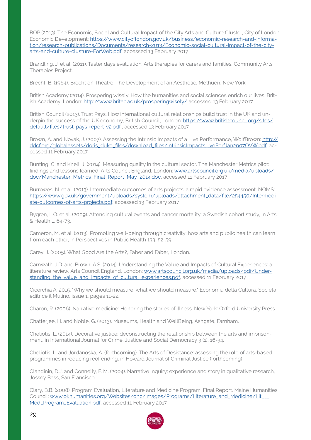BOP (2013). The Economic, Social and Cultural Impact of the City Arts and Culture Cluster, City of London Economic Development: [https://www.cityoflondon.gov.uk/business/economic-research-and-informa](https://www.cityoflondon.gov.uk/business/economic-research-and-information/research-publications/Doc)[tion/research-publications/Documents/research-2013/Economic-social-cultural-impact-of-the-city](https://www.cityoflondon.gov.uk/business/economic-research-and-information/research-publications/Doc)[arts-and-culture-clusture-ForWeb.pdf](https://www.cityoflondon.gov.uk/business/economic-research-and-information/research-publications/Doc), accessed 13 February 2017

Brandling, J. et al. (2011). Taster days evaluation. Arts therapies for carers and families. Community Arts Therapies Project.

Brecht, B. (1964). Brecht on Theatre: The Development of an Aesthetic, Methuen, New York.

British Academy (2014). Prospering wisely. How the humanities and social sciences enrich our lives. British Academy, London:<http://www.britac.ac.uk/prosperingwisely/> accessed 13 February 2017

British Council (2013). Trust Pays. How international cultural relationships build trust in the UK and underpin the success of the UK economy, British Council, London: [https://www.britishcouncil.org/sites/](https://www.britishcouncil.org/sites/default/files/trust-pays-report-v2.pdf) [default/files/trust-pays-report-v2.pdf](https://www.britishcouncil.org/sites/default/files/trust-pays-report-v2.pdf) , accessed 13 February 2017

Brown, A. and Novak, J. (2007). Assessing the Intrinsic Impacts of a Live Performance, WolfBrown: [http://](http://ddcf.org/globalassets/doris_duke_files/download_files/IntrinsicImpactsLivePerfJan2007OVW.pdf) [ddcf.org/globalassets/doris\\_duke\\_files/download\\_files/IntrinsicImpactsLivePerfJan2007OVW.pdf](http://ddcf.org/globalassets/doris_duke_files/download_files/IntrinsicImpactsLivePerfJan2007OVW.pdf), accessed 11 February 2017

Bunting, C. and Knell, J. (2014). Measuring quality in the cultural sector. The Manchester Metrics pilot: findings and lessons learned, Arts Council England, London: [www.artscouncil.org.uk/media/uploads/](http://www.artscouncil.org.uk/media/uploads/doc/Manchester_Metrics_Final_Report_May_2014.doc) [doc/Manchester\\_Metrics\\_Final\\_Report\\_May\\_2014.doc,](http://www.artscouncil.org.uk/media/uploads/doc/Manchester_Metrics_Final_Report_May_2014.doc) accessed 11 February 2017

Burrowes, N. et al. (2013). Intermediate outcomes of arts projects: a rapid evidence assessment. NOMS: [https://www.gov.uk/government/uploads/system/uploads/attachment\\_data/file/254450/Intermedi](https://www.gov.uk/government/uploads/system/uploads/attachment_data/file/254450/Intermediate-outcom)[ate-outcomes-of-arts-projects.pdf](https://www.gov.uk/government/uploads/system/uploads/attachment_data/file/254450/Intermediate-outcom), accessed 13 February 2017

Bygren, L.O. et al. (2009). Attending cultural events and cancer mortality: a Swedish cohort study, in Arts & Health 1, 64-73.

Cameron, M. et al. (2013). Promoting well-being through creativity: how arts and public health can learn from each other, in Perspectives in Public Health 133, 52-59.

Carey, J. (2005). What Good Are the Arts?, Faber and Faber, London.

Carnwath, J.D. and Brown, A.S. (2014). Understanding the Value and Impacts of Cultural Experiences: a literature review, Arts Council England, London: [www.artscouncil.org.uk/media/uploads/pdf/Under](http://www.artscouncil.org.uk/media/uploads/pdf/Understanding_the_value_and_impacts_of_cultural_experiences)[standing\\_the\\_value\\_and\\_impacts\\_of\\_cultural\\_experiences.pdf,](http://www.artscouncil.org.uk/media/uploads/pdf/Understanding_the_value_and_impacts_of_cultural_experiences) accessed 11 February 2017

Cicerchia A. 2015. "Why we should measure, what we should measure," Economia della Cultura, Società editrice il Mulino, issue 1, pages 11-22.

Charon, R. (2006). Narrative medicine: Honoring the stories of illness. New York: Oxford University Press.

Chatterjee, H. and Noble, G. (2013). Museums, Health and WellBeing, Ashgate, Farnham.

Cheliotis, L. (2014). Decorative justice: deconstructing the relationship between the arts and imprisonment, in International Journal for Crime, Justice and Social Democracy 3 (1), 16-34.

Cheliotis, L. and Jordanoska, A. (forthcoming). The Arts of Desistance: assessing the role of arts-based programmes in reducing reoffending, in Howard Journal of Criminal Justice (forthcoming)

Clandinin, D.J. and Connelly, F. M. (2004). Narrative Inquiry: experience and story in qualitative research, Jossey Bass, San Francisco.

Clary, B.B. (2008). Program Evaluation, Literature and Medicine Program. Final Report. Maine Humanities Council: www.okhumanities.org/Websites/ohc/images/Programs/Literature\_and\_Medicine/Lit\_ [Med\\_Program\\_Evaluation.pdf](http://www.okhumanities.org/Websites/ohc/images/Programs/Literature_and_Medicine/Lit___Med_Program_Evaluati), accessed 11 February 2017

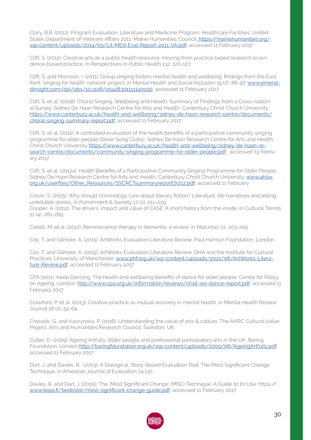Clary, B.B. (2012). Program Evaluation, Literature and Medicine Program. Healthcare Facilities, United States Department of Veterans Affairs 2011. Maine Humanities Council: [https://mainehumanities.org/]( https://mainehumanities.org/wp-content/uploads/2014/09/Lit-MEd-Eval-Report-2011-VA.pdf) [wp-content/uploads/2014/09/Lit-MEd-Eval-Report-2011-VA.pdf]( https://mainehumanities.org/wp-content/uploads/2014/09/Lit-MEd-Eval-Report-2011-VA.pdf), accessed 11 February 2017

Clift, S. (2012). Creative arts as a public health resource: moving from practice based research to evidence-based practice, in Perspectives in Public Health 132, 120-127.

Clift, S. and Morrison, I. (2011). Group singing fosters mental health and wellbeing: findings from the East Kent 'singing for health' network project, in Mental Health and Social Inclusion 15 (2), 88-97: [www.emeral](http://www.emeraldinsight.com/doi/abs/10.1108/20428301111140930)[dinsight.com/doi/abs/10.1108/20428301111140930](http://www.emeraldinsight.com/doi/abs/10.1108/20428301111140930), accessed 11 February 2017

Clift, S. et al. (2008). Choral Singing, Wellbeing and Health: Summary of Findings from a Cross-national Survey. Sidney De Haan Research Centre for Arts and Health, Canterbury Christ Church University: [https://www.canterbury.ac.uk/health-and-wellbeing/sidney-de-haan-research-centre/documents/](https://www.canterbury.ac.uk/health-and-wellbeing/sidney-de-haan-research-centre/documents/choral-si) [choral-singing-summary-report.pdf](https://www.canterbury.ac.uk/health-and-wellbeing/sidney-de-haan-research-centre/documents/choral-si), accessed 11 February 2017

Clift, S. et al. (2012). A controlled evaluation of the health benefits of a participative community singing programme for older people (Silver Song Clubs), Sidney De Haan Research Centre for Arts and Health, Christ Church University [https://www.canterbury.ac.uk/health-and-wellbeing/sidney-de-haan-re](https://www.canterbury.ac.uk/health-and-wellbeing/sidney-de-haan-research-centre/documents/community)[search-centre/documents/community-singing-programme-for-older-people.pdf](https://www.canterbury.ac.uk/health-and-wellbeing/sidney-de-haan-research-centre/documents/community) , accessed 13 February 2017

Clift, S. et al. (2012a). Health Benefits of a Participative Community Singing Programme for Older People. Sidney De Haan Research Centre for Arts and Health, Canterbury Christ Church University: [www.ahsw.](http://www.ahsw.org.uk/userfiles/Other_Resources/SSCRCTsummaryreportOct12.pdf) [org.uk/userfiles/Other\\_Resources/SSCRCTsummaryreportOct12.pdf](http://www.ahsw.org.uk/userfiles/Other_Resources/SSCRCTsummaryreportOct12.pdf), accessed 11 February

Colvin, S. (2015). Why should criminology care about literary fiction? Literature, life narratives and telling untellable stories, in Punishment & Society 17 (2), 211–229. Cooper, A. (2012). The drivers, impact and value of CASE: A short history from the inside, in Cultural Trends 21 (4), 281-289.

Cotelli, M. et al. (2012). Reminiscence therapy in dementia: a review, in Maturitas 72, 203-205.

Cox, T. and Gilmore, A. (2015). ArtWorks Evaluation Literature Review, Paul Hamlyn Foundation, London

Cox, T. and Gilmore, A. (2015). ArtWorks Evaluation Literature Review. DHA and the Institute for Cultural Practices, University of Manchester: [www.phf.org.uk/wp-content/uploads/2015/06/ArtWorks-Litera](http://www.phf.org.uk/wp-content/uploads/2015/06/ArtWorks-Literature-Review.pdf)[ture-Review.pdf,](http://www.phf.org.uk/wp-content/uploads/2015/06/ArtWorks-Literature-Review.pdf) accessed 11 February 2017

CPA (2011). Keep Dancing. The health and wellbeing benefits of dance for older people. Centre for Policy on Ageing, London:<http://www.cpa.org.uk/information/reviews/shall-we-dance-report.pdf>, accessed 11 February 2017

Crawford, P. et al. (2013). Creative practice as mutual recovery in mental health, in Mental Health Review Journal 18 (2), 55-64.

Crossick, G. and Kaszynska, P. (2016). Understanding the value of arts & culture. The AHRC Cultural Value Project, Arts and Humanities Research Council, Swindon, UK.

Cutler, D. (2009). Ageing Artfully. Older people and professional participatory arts in the UK, Baring Foundation, London [http://baringfoundation.org.uk/wp-content/uploads/2009/08/AgeingArtfully.pdf,](http://baringfoundation.org.uk/wp-content/uploads/2009/08/AgeingArtfully.pdf) accessed 11 February 2017

Dart, J. and Davies, R. (2003). A Dialogical, Story-Based Evaluation Tool: The Most Significant Change Technique, in American Journal of Evaluation 24,137.

Davies, R. and Dart, J. (2005). The 'Most Significant Change' (MSC) Technique. A Guide to Its Use: https:// [www.kepa.fi/tiedostot/most-significant-change-guide.pdf](http://www.kepa.fi/tiedostot/most-significant-change-guide.pdf), accessed 11 February 2017

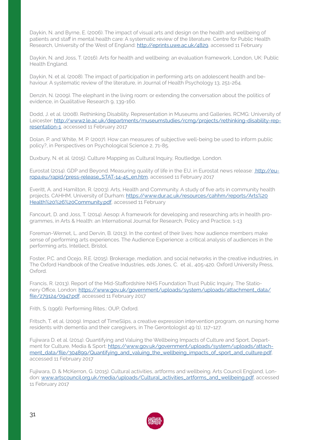Daykin, N. and Byrne, E. (2006). The impact of visual arts and design on the health and wellbeing of patients and staff in mental health care: A systematic review of the literature. Centre for Public Health Research, University of the West of England: [http://eprints.uwe.ac.uk/4829,](http://eprints.uwe.ac.uk/4829) accessed 11 February

Daykin, N. and Joss, T. (2016). Arts for health and wellbeing: an evaluation framework, London, UK: Public Health England.

Daykin, N. et al. (2008). The impact of participation in performing arts on adolescent health and behaviour. A systematic review of the literature, in Journal of Health Psychology 13, 251-264.

Denzin, N. (2009). The elephant in the living room: or extending the conversation about the politics of evidence, in Qualitative Research 9, 139-160.

Dodd, J. et al. (2008). Rethinking Disability. Representation in Museums and Galleries. RCMG: University of Leicester: [http://www2.le.ac.uk/departments/museumstudies/rcmg/projects/rethinking-disability-rep](http://www2.le.ac.uk/departments/museumstudies/rcmg/projects/rethinking-disability-representation-1)[resentation-1,](http://www2.le.ac.uk/departments/museumstudies/rcmg/projects/rethinking-disability-representation-1) accessed 11 February 2017

Dolan, P. and White, M. P. (2007). How can measures of subjective well-being be used to inform public policy?, in Perspectives on Psychological Science 2, 71-85.

Duxbury, N. et al. (2015). Culture Mapping as Cultural Inquiry, Routledge, London.

Eurostat (2014). GDP and Beyond. Measuring quality of life in the EU, in Eurostat news release: [http://eu]( http://europa.eu/rapid/press-release_STAT-14-45_en.htm)[ropa.eu/rapid/press-release\\_STAT-14-45\\_en.htm,]( http://europa.eu/rapid/press-release_STAT-14-45_en.htm) accessed 11 February 2017

Everitt, A. and Hamilton, R. (2003). Arts, Health and Community. A study of five arts in community health projects. CAHHM, University of Durham: [https://www.dur.ac.uk/resources/cahhm/reports/Arts%20](https://www.dur.ac.uk/resources/cahhm/reports/Arts%20Health%20%26%20Community.pdf) [Health%20%26%20Community.pdf](https://www.dur.ac.uk/resources/cahhm/reports/Arts%20Health%20%26%20Community.pdf), accessed 11 February

Fancourt, D. and Joss, T. (2014). Aesop: A framework for developing and researching arts in health programmes, in Arts & Health: an International Journal for Research, Policy and Practice, 1-13

Foreman-Wernet, L. and Dervin, B. (2013). In the context of their lives: how audience members make sense of performing arts experiences. The Audience Experience: a critical analysis of audiences in the performing arts, Intellect, Bristol.

Foster, P.C. and Ocejo, R.E. (2015). Brokerage, mediation, and social networks in the creative industries, in The Oxford Handbook of the Creative Industries, eds Jones, C. et al., 405-420. Oxford University Press, Oxford.

Francis, R. (2013). Report of the Mid-Staffordshire NHS Foundation Trust Public Inquiry, The Stationery Office, London: [https://www.gov.uk/government/uploads/system/uploads/attachment\\_data/](https://www.gov.uk/government/uploads/system/uploads/attachment_data/file/279124/0947.pdf) [file/279124/0947.pdf](https://www.gov.uk/government/uploads/system/uploads/attachment_data/file/279124/0947.pdf), accessed 11 February 2017

Frith, S. (1996). Performing Rites.: OUP, Oxford.

Fritsch, T. et al. (2009). Impact of TimeSlips, a creative expression intervention program, on nursing home residents with dementia and their caregivers, in The Gerontologist 49 (1), 117–127.

Fujiwara D. et al. (2014). Quantifying and Valuing the Wellbeing Impacts of Culture and Sport, Department for Culture, Media & Sport: [https://www.gov.uk/government/uploads/system/uploads/attach](https://www.gov.uk/government/uploads/system/uploads/attachment_data/file/304899/Quantifying_and_val)[ment\\_data/file/304899/Quantifying\\_and\\_valuing\\_the\\_wellbeing\\_impacts\\_of\\_sport\\_and\\_culture.pdf](https://www.gov.uk/government/uploads/system/uploads/attachment_data/file/304899/Quantifying_and_val), accessed 11 February 2017

Fujiwara, D. & McKerron, G. (2015). Cultural activities, artforms and wellbeing. Arts Council England, London: [www.artscouncil.org.uk/media/uploads/Cultural\\_activities\\_artforms\\_and\\_wellbeing.pdf,](http://www.artscouncil.org.uk/media/uploads/Cultural_activities_artforms_and_wellbeing.pdf) accessed 11 February 2017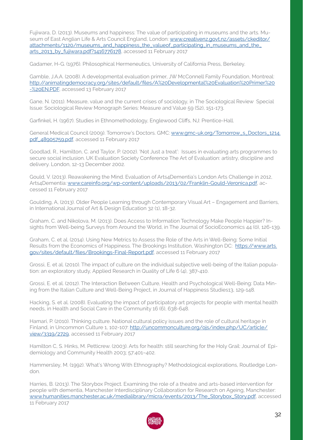Fujiwara, D. (2013). Museums and happiness: The value of participating in museums and the arts. Museum of East Anglian Life & Arts Council England, London: [www.creativenz.govt.nz/assets/ckeditor/](http://www.creativenz.govt.nz/assets/ckeditor/attachments/1120/museums_and_happiness_the_valueof_participat) [attachments/1120/museums\\_and\\_happiness\\_the\\_valueof\\_participating\\_in\\_museums\\_and\\_the\\_](http://www.creativenz.govt.nz/assets/ckeditor/attachments/1120/museums_and_happiness_the_valueof_participat) [arts\\_2013\\_by\\_fujiwara.pdf?1416776178](http://www.creativenz.govt.nz/assets/ckeditor/attachments/1120/museums_and_happiness_the_valueof_participat), accessed 11 February 2017

Gadamer, H-G. (1976). Philosophical Hermeneutics, University of California Press, Berkeley.

Gamble, J.A.A. (2008). A developmental evaluation primer, JW McConnell Family Foundation, Montreal: [http://animatingdemocracy.org/sites/default/files/A%20Developmental%20Evaluation%20Primer%20](http://animatingdemocracy.org/sites/default/files/A%20Developmental%20Evaluation%20Primer%20-%20EN.P) [-%20EN.PDF,](http://animatingdemocracy.org/sites/default/files/A%20Developmental%20Evaluation%20Primer%20-%20EN.P) accessed 13 February 2017

Gane, N. (2011). Measure, value and the current crises of sociology, in The Sociological Review Special Issue: Sociological Review Monograph Series: Measure and Value 59 (S2), 151-173.

Garfinkel, H. (1967). Studies in Ethnomethodology, Englewood Cliffs, NJ: Prentice-Hall.

General Medical Council (2009). Tomorrow's Doctors. GMC: [www.gmc-uk.org/Tomorrow\\_s\\_Doctors\\_1214.](http://www.gmc-uk.org/Tomorrow_s_Doctors_1214.pdf_48905759.pdf) [pdf\\_48905759.pdf,](http://www.gmc-uk.org/Tomorrow_s_Doctors_1214.pdf_48905759.pdf) accessed 11 February 2017

Goodlad, R., Hamilton, C. and Taylor, P. (2002). 'Not Just a treat': Issues in evaluating arts programmes to secure social inclusion. UK Evaluation Society Conference The Art of Evaluation: artistry, discipline and delivery. London, 12-13 December 2002.

Gould, V. (2013). Reawakening the Mind. Evaluation of Arts4Dementia's London Arts Challenge in 2012, Arts4Dementia: [www.careinfo.org/wp-content/uploads/2013/02/Franklin-Gould-Veronica.pdf](http://www.careinfo.org/wp-content/uploads/2013/02/Franklin-Gould-Veronica.pdf), accessed 11 February 2017

Goulding, A, (2013). Older People Learning through Contemporary Visual Art – Engagement and Barriers, in International Journal of Art & Design Education 32 (1), 18-32.

Graham, C. and Nikolova, M. (2013). Does Access to Information Technology Make People Happier? Insights from Well-being Surveys from Around the World, in The Journal of SocioEconomics 44 (0), 126-139.

Graham, C. et al. (2014). Using New Metrics to Assess the Role of the Arts in Well-Being: Some Initial Results from the Economics of Happiness. The Brookings Institution, Washington DC: [https://www.arts.](https://www.arts.gov/sites/default/files/Brookings-Final-Report.pdf) [gov/sites/default/files/Brookings-Final-Report.pdf](https://www.arts.gov/sites/default/files/Brookings-Final-Report.pdf), accessed 11 February 2017

Grossi, E. et al. (2010). The impact of culture on the individual subjective well-being of the Italian population: an exploratory study, Applied Research in Quality of Life 6 (4), 387-410.

Grossi, E. et al. (2012). The Interaction Between Culture, Health and Psychological Well-Being: Data Mining from the Italian Culture and Well-Being Project, in Journal of Happiness Studies13, 129-148.

Hacking, S. et al. (2008). Evaluating the impact of participatory art projects for people with mental health needs, in Health and Social Care in the Community 16 (6), 638-648.

Hamari, P. (2010). Thinking culture. National cultural policy issues and the role of cultural heritage in Finland, in Uncommon Culture 1, 102-107: [http://uncommonculture.org/ojs/index.php/UC/article/](http://uncommonculture.org/ojs/index.php/UC/article/view/3319/2729) [view/3319/2729,](http://uncommonculture.org/ojs/index.php/UC/article/view/3319/2729) accessed 11 February 2017

Hamilton C, S. Hinks, M. Petticrew. (2003). Arts for health: still searching for the Holy Grail: Journal of Epidemiology and Community Health 2003; 57:401–402.

Hammersley, M. (1992). What's Wrong With Ethnography? Methodological explorations, Routledge London.

Harries, B. (2013). The Storybox Project. Examining the role of a theatre and arts-based intervention for people with dementia, Manchester Interdisciplinary Collaboration for Research on Ageing, Manchester: [www.humanities.manchester.ac.uk/medialibrary/micra/events/2013/The\\_Storybox\\_Story.pdf,](http://www.humanities.manchester.ac.uk/medialibrary/micra/events/2013/The_Storybox_Story.pdf) accessed 11 February 2017

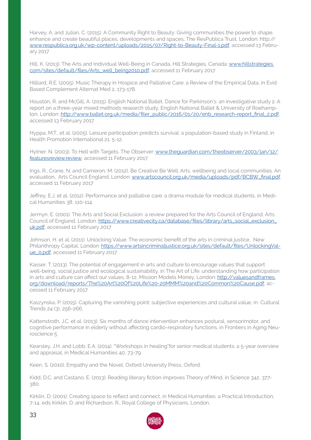Harvey, A. and Julian, C. (2015). A Community Right to Beauty: Giving communities the power to shape, enhance and create beautiful places, developments and spaces, The ResPublica Trust, London: http:// [www.respublica.org.uk/wp-content/uploads/2015/07/Right-to-Beauty-Final-1.pdf,](http://www.respublica.org.uk/wp-content/uploads/2015/07/Right-to-Beauty-Final-1.pdf) accessed 13 February 2017

Hill, K. (2013). The Arts and Individual Well-Being in Canada, Hill Strategies, Canada: [www.hillstrategies.](http://www.hillstrategies.com/sites/default/files/Arts_well_being2010.pdf) [com/sites/default/files/Arts\\_well\\_being2010.pdf](http://www.hillstrategies.com/sites/default/files/Arts_well_being2010.pdf), accessed 11 February 2017

Hilliard, R.E. (2005). Music Therapy in Hospice and Palliative Care: a Review of the Empirical Data, in Evid Based Complement Alternat Med 2, 173-178.

Houston, R. and McGill, A. (2015). English National Ballet, Dance for Parkinson's: an investigative study 2. A report on a three-year mixed methods research study, English National Ballet & University of Roehampton, London: [http://www.ballet.org.uk/media/filer\\_public/2016/01/20/enb\\_research-report\\_final\\_2.pdf](http://www.ballet.org.uk/media/filer_public/2016/01/20/enb_research-report_final_2.pdf), accessed 13 February 2017

Hyppa, M.T., et al. (2005). Leisure participation predicts survival: a population-based study in Finland, in Health Promotion International 21, 5-12.

Hytner, N. (2003). To Hell with Targets. The Observer: [www.theguardian.com/theobserver/2003/jan/12/](http://www.theguardian.com/theobserver/2003/jan/12/featuresreview.review) [featuresreview.review,](http://www.theguardian.com/theobserver/2003/jan/12/featuresreview.review) accessed 11 February 2017

Ings, R., Crane, N. and Cameron, M. (2012). Be Creative Be Well. Arts, wellbeing and local communities. An evaluation, Arts Council England, London: [www.artscouncil.org.uk/media/uploads/pdf/BCBW\\_final.pdf](http://www.artscouncil.org.uk/media/uploads/pdf/BCBW_final.pdf), accessed 11 February 2017

Jeffrey, E.J. et al. (2012). Performance and palliative care: a drama module for medical students, in Medical Humanities 38, 110-114.

Jermyn, E. (2001). The Arts and Social Exclusion: a review prepared for the Arts Council of England, Arts Council of England, London: [https://www.creativecity.ca/database/files/library/arts\\_social\\_exclusion\\_](https://www.creativecity.ca/database/files/library/arts_social_exclusion_uk.pdf) [uk.pdf](https://www.creativecity.ca/database/files/library/arts_social_exclusion_uk.pdf), accessed 12 February 2017

Johnson, H. et al. (2011). Unlocking Value. The economic benefit of the arts in criminal justice, New Philanthropy Capital, London: [https://www.artsincriminaljustice.org.uk/sites/default/files/UnlockingVal](https://www.artsincriminaljustice.org.uk/sites/default/files/UnlockingValue_0.pdf)[ue\\_0.pdf](https://www.artsincriminaljustice.org.uk/sites/default/files/UnlockingValue_0.pdf), accessed 11 February 2017

Kasser, T. (2013). The potential of engagement in arts and culture to encourage values that support well-being, social justice and ecological sustainability, in The Art of Life: understanding how participation in arts and culture can affect our values, 8-12, Mission Models Money, London: [http://valuesandframes.](http://valuesandframes.org/download/reports/The%20Art%20Of%20Life%20-20MMM%20and%20Common%20Cause.pd) [org/download/reports/The%20Art%20Of%20Life%20-20MMM%20and%20Common%20Cause.pdf,](http://valuesandframes.org/download/reports/The%20Art%20Of%20Life%20-20MMM%20and%20Common%20Cause.pd) accessed 11 February 2017

Kaszynska, P. (2015). Capturing the vanishing point: subjective experiences and cultural value, in Cultural Trends 24 (3), 256-266.

Kattenstroth, J.C. et al. (2013). Six months of dance intervention enhances postural, sensorimotor, and cognitive performance in elderly without affecting cardio-respiratory functions, in Frontiers in Aging Neuroscience 5

Kearsley, J.H. and Lobb, E.A. (2014). "Workshops in healing"for senior medical students: a 5-year overview and appraisal, in Medical Humanities 40, 73-79.

Keen, S. (2010). Empathy and the Novel, Oxford University Press, Oxford.

Kidd, D.C. and Castano, E. (2013). Reading literary fiction improves Theory of Mind, in Science 342, 377-380.

Kirklin, D. (2001). Creating space to reflect and connect, in Medical Humanities: a Practical Introduction, 7-14, eds Kirklin, D. and Richardson, R., Royal College of Physicians, London.

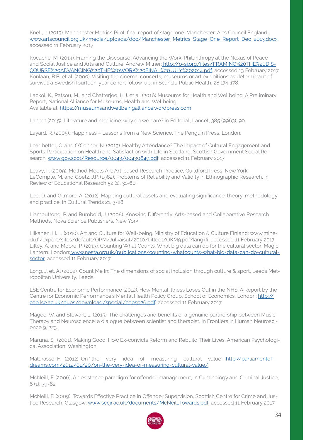Knell, J. (2013). Manchester Metrics Pilot: final report of stage one. Manchester: Arts Council England: [www.artscouncil.org.uk/media/uploads/doc/Manchester\\_Metrics\\_Stage\\_One\\_Report\\_Dec\\_2013.docx](http://www.artscouncil.org.uk/media/uploads/doc/Manchester_Metrics_Stage_One_Report_Dec_2013.docx), accessed 11 February 2017

Kocache, M. (2014). Framing the Discourse, Advancing the Work: Philanthropy at the Nexus of Peace and Social Justice and Arts and Culture, Andrew Milner: [http://p-sj.org/files/FRAMING%20THE%20DIS]( http://p-sj.org/files/FRAMING%20THE%20DISCOURSE%20ADVANCING%20THE%20WORK%20FINAL%20JULY%202014.pdf)-[COURSE%20ADVANCING%20THE%20WORK%20FINAL%20JULY%202014.pdf,]( http://p-sj.org/files/FRAMING%20THE%20DISCOURSE%20ADVANCING%20THE%20WORK%20FINAL%20JULY%202014.pdf) accessed 13 February 2017 Konlaan, B.B. et al. (2000). Visiting the cinema, concerts, museums or art exhibitions as determinant of survival: a Swedish fourteen-year cohort follow-up, in Scand J Public Health, 28,174-178.

Lackoi, K., Patsou, M., and Chatterjee, H.J. et al. (2016) Museums for Health and Wellbeing. A Preliminary Report, National Alliance for Museums, Health and Wellbeing. Available at: <https://museumsandwellbeingalliance.wordpress.com>

Lancet (2015). Literature and medicine: why do we care? in Editorial, Lancet, 385 (9963), 90.

Layard, R. (2005). Happiness – Lessons from a New Science, The Penguin Press, London.

Leadbetter, C. and O'Connor, N. (2013). Healthy Attendance? The Impact of Cultural Engagement and Sports Participation on Health and Satisfaction with Life in Scotland, Scottish Government Social Research: [www.gov.scot/Resource/0043/00430649.pdf](http://www.gov.scot/Resource/0043/00430649.pdf), accessed 11 February 2017

Leavy, P. (2009). Method Meets Art: Art-based Research Practice, Guildford Press, New York. LeCompte, M. and Goetz, J.P. (1982). Problems of Reliability and Validity in Ethnographic Research, in Review of Educational Research 52 (1), 31-60.

Lee, D. and Gilmore, A. (2012). Mapping cultural assets and evaluating significance: theory, methodology and practice, in Cultural Trends 21, 3-28.

Liamputtong, P. and Rumbold, J. (2008). Knowing Differently: Arts-based and Collaborative Research Methods, Nova Science Publishers, New York.

Liikanen, H. L. (2010). Art and Culture for Well-being. Ministry of Education & Culture Finland: www.minedu.fi/export/sites/default/OPM/Julkaisut/2010/liitteet/OKM9.pdf?lang=fi, accessed 11 February 2017 Lilley, A. and Moore, P. (2013). Counting What Counts. What big data can do for the cultural sector, Magic Lantern, London[: www.nesta.org.uk/publications/counting-whatcounts-what-big-data-can-do-cultural](http:// www.nesta.org.uk/publications/counting-whatcounts-what-big-data-can-do-cultural-sector)[sector](http:// www.nesta.org.uk/publications/counting-whatcounts-what-big-data-can-do-cultural-sector), accessed 11 February 2017

Long, J. et. Al (2002). Count Me In: The dimensions of social inclusion through culture & sport, Leeds Metropolitan University, Leeds.

LSE Centre for Economic Performance (2012). How Mental Illness Loses Out in the NHS. A Report by the Centre for Economic Performance's Mental Health Policy Group, School of Economics, London: [http://](http://cep.lse.ac.uk/pubs/download/special/cepsp26.pdf) [cep.lse.ac.uk/pubs/download/special/cepsp26.pdf](http://cep.lse.ac.uk/pubs/download/special/cepsp26.pdf), accessed 11 February 2017

Magee, W. and Stewart, L. (2015). The challenges and benefits of a genuine partnership between Music Therapy and Neuroscience: a dialogue between scientist and therapist, in Frontiers in Human Neuroscience 9, 223.

Maruna, S., (2001). Making Good: How Ex-convicts Reform and Rebuild Their Lives, American Psychological Association, Washington.

Matarasso F. (2012), On 'the very idea of measuring cultural value', [http://parliamentof](http://parliamentofdreams.com/2012/01/20/on-the-very-idea-of-measuring-cultural-value/)[dreams.com/2012/01/20/on-the-very-idea-of-measuring-cultural-value/](http://parliamentofdreams.com/2012/01/20/on-the-very-idea-of-measuring-cultural-value/).

McNeill, F. (2006). A desistance paradigm for offender management, in Criminology and Criminal Justice, 6 (1), 39-62.

McNeill, F. (2009). Towards Effective Practice in Offender Supervision, Scottish Centre for Crime and Justice Research, Glasgow: [www.sccjr.ac.uk/documents/McNeil\\_Towards.pdf](http://www.sccjr.ac.uk/documents/McNeil_Towards.pdf), accessed 11 February 2017

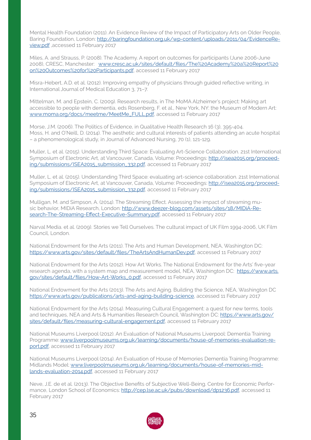Mental Health Foundation (2011). An Evidence Review of the Impact of Participatory Arts on Older People, Baring Foundation, London: [http://baringfoundation.org.uk/wp-content/uploads/2011/04/EvidenceRe](http://baringfoundation.org.uk/wp-content/uploads/2011/04/EvidenceReview.pdf)[view.pdf](http://baringfoundation.org.uk/wp-content/uploads/2011/04/EvidenceReview.pdf) ,accessed 11 February 2017

Miles, A. and Strauss, P. (2008). The Academy. A report on outcomes for participants (June 2006-June 2008), CRESC, Manchester: [www.cresc.ac.uk/sites/default/files/The%20Academy%20a%20Report%20](http://www.cresc.ac.uk/sites/default/files/The%20Academy%20a%20Report%20on%20Outcomes%20for%20Participants.) [on%20Outcomes%20for%20Participants.pdf,](http://www.cresc.ac.uk/sites/default/files/The%20Academy%20a%20Report%20on%20Outcomes%20for%20Participants.) accessed 11 February 2017

Misra-Hebert, A.D. et al. (2012). Improving empathy of physicians through guided reflective writing, in International Journal of Medical Education 3, 71–7.

Mittelman, M. and Epstein, C. (2009). Research results, in The MoMA Alzheimer's project: Making art accessible to people with dementia, eds Rosenberg, F. et al., New York, NY: the Museum of Modern Art: [www.moma.org/docs/meetme/MeetMe\\_FULL.pdf,](http://www.moma.org/docs/meetme/MeetMe_FULL.pdf) accessed 11 February 2017

Morse, J.M. (2006). The Politics of Evidence, in Qualitative Health Research 16 (3), 395-404. Moss, H. and O'Neill, D. (2014). The aesthetic and cultural interests of patients attending an acute hospital – a phenomenological study, in Journal of Advanced Nursing, 70 (1), 121-129.

Muller, L. et al. (2015). Understanding Third Space: Evaluating Art-Science Collaboration. 21st International Symposium of Electronic Art, at Vancouver, Canada, Volume: Proceedings: [http://isea2015.org/proceed](http://isea2015.org/proceeding/submissions/ISEA2015_submission_332.pdf)[ing/submissions/ISEA2015\\_submission\\_332.pdf](http://isea2015.org/proceeding/submissions/ISEA2015_submission_332.pdf), accessed 11 February 2017

Muller, L. et al. (2015). Understanding Third Space: evaluating art-science collaboration. 21st International Symposium of Electronic Art, at Vancouver, Canada, Volume: Proceedings: [http://isea2015.org/proceed](http://isea2015.org/proceeding/submissions/ISEA2015_submission_332.pdf)[ing/submissions/ISEA2015\\_submission\\_332.pdf](http://isea2015.org/proceeding/submissions/ISEA2015_submission_332.pdf), accessed 11 February 2017

Mulligan, M. and Simpson, A. (2014). The Streaming Effect. Assessing the impact of streaming music behavior, MIDiA Research, London: [http://www.deezer-blog.com/assets/sites/18/MIDiA-Re](http://www.deezer-blog.com/assets/sites/18/MIDiA-Research-The-Streaming-Effect-Executive-Summary.pdf)[search-The-Streaming-Effect-Executive-Summary.pdf](http://www.deezer-blog.com/assets/sites/18/MIDiA-Research-The-Streaming-Effect-Executive-Summary.pdf), accessed 11 February 2017

Narval Media. et al. (2009). Stories we Tell Ourselves. The cultural impact of UK Film 1994-2006, UK Film Council, London.

National Endowment for the Arts (2011). The Arts and Human Development, NEA, Washington DC: <https://www.arts.gov/sites/default/files/TheArtsAndHumanDev.pdf>, accessed 11 February 2017

National Endowment for the Arts (2012). How Art Works. The National Endowment for the Arts' five-year research agenda, with a system map and measurement model, NEA, Washington DC: [https://www.arts.](https://www.arts.gov/sites/default/files/How-Art-Works_0.pdf) [gov/sites/default/files/How-Art-Works\\_0.pdf](https://www.arts.gov/sites/default/files/How-Art-Works_0.pdf), accessed 11 February 2017

National Endowment for the Arts (2013). The Arts and Aging. Building the Science, NEA, Washington DC <https://www.arts.gov/publications/arts-and-aging-building-science>, accessed 11 February 2017

National Endowment for the Arts (2014). Measuring Cultural Engagement: a quest for new terms, tools and techniques, NEA and Arts & Humanities Research Council, Washington DC: [https://www.arts.gov/](https://www.arts.gov/sites/default/files/measuring-cultural-engagement.pdf) [sites/default/files/measuring-cultural-engagement.pdf](https://www.arts.gov/sites/default/files/measuring-cultural-engagement.pdf), accessed 11 February 2017

National Museums Liverpool (2012). An Evaluation of National Museums Liverpool: Dementia Training Programme: [www.liverpoolmuseums.org.uk/learning/documents/house-of-memories-evaluation-re](http://www.liverpoolmuseums.org.uk/learning/documents/house-of-memories-evaluation-report.pdf)[port.pdf,](http://www.liverpoolmuseums.org.uk/learning/documents/house-of-memories-evaluation-report.pdf) accessed 11 February 2017

National Museums Liverpool (2014). An Evaluation of House of Memories Dementia Training Programme: Midlands Model: [www.liverpoolmuseums.org.uk/learning/documents/house-of-memories-mid](http://www.liverpoolmuseums.org.uk/learning/documents/house-of-memories-midlands-evaluation-2014.pdf)[lands-evaluation-2014.pdf](http://www.liverpoolmuseums.org.uk/learning/documents/house-of-memories-midlands-evaluation-2014.pdf), accessed 11 February 2017

Neve, J.E. de et al. (2013). The Objective Benefits of Subjective Well-Being. Centre for Economic Performance, London School of Economics: [http://cep.lse.ac.uk/pubs/download/dp1236.pdf,](http://cep.lse.ac.uk/pubs/download/dp1236.pdf) accessed 11 February 2017

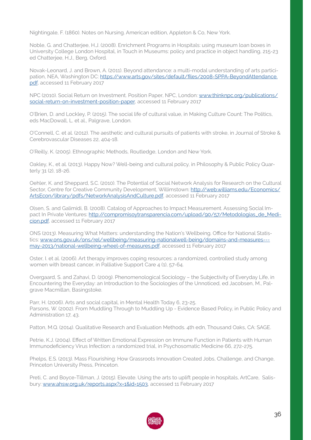Nightingale, F. (1860). Notes on Nursing. American edition, Appleton & Co, New York.

Noble, G. and Chatterjee, H.J. (2008). Enrichment Programs in Hospitals: using museum loan boxes in University College London Hospital, in Touch in Museums: policy and practice in object handling, 215-23 ed Chatterjee, H.J., Berg, Oxford.

Novak-Leonard, J. and Brown, A. (2011). Beyond attendance: a multi-modal understanding of arts participation, NEA, Washington DC: [https://www.arts.gov/sites/default/files/2008-SPPA-BeyondAttendance.](https://www.arts.gov/sites/default/files/2008-SPPA-BeyondAttendance.pdf) [pdf](https://www.arts.gov/sites/default/files/2008-SPPA-BeyondAttendance.pdf), accessed 11 February 2017

NPC (2010). Social Return on Investment. Position Paper, NPC, London: [www.thinknpc.org/publications/](http://www.thinknpc.org/publications/social-return-on-investment-position-paper) [social-return-on-investment-position-paper](http://www.thinknpc.org/publications/social-return-on-investment-position-paper), accessed 11 February 2017

O'Brien, D. and Lockley, P. (2015). The social life of cultural value, in Making Culture Count: The Politics, eds MacDowall, L. et al., Palgrave, London.

O'Connell, C. et al. (2012). The aesthetic and cultural pursuits of patients with stroke, in Journal of Stroke & Cerebrovascular Diseases 22, 404-18.

O'Reilly, K. (2005). Ethnographic Methods, Routledge, London and New York.

Oakley, K., et al. (2013). Happy Now? Well-being and cultural policy, in Philosophy & Public Policy Quarterly 31 (2), 18-26.

Oehler, K. and Sheppard, S.C. (2010). The Potential of Social Network Analysis for Research on the Cultural Sector, Centre for Creative Community Development, Willimstown: [http://web.williams.edu/Economics/](http://web.williams.edu/Economics/ArtsEcon/library/pdfs/NetworkAnalysisAndCulture.pdf) [ArtsEcon/library/pdfs/NetworkAnalysisAndCulture.pdf](http://web.williams.edu/Economics/ArtsEcon/library/pdfs/NetworkAnalysisAndCulture.pdf), accessed 11 February 2017

Olsen, S. and Galimidi, B. (2008). Catalog of Approaches to Impact Measurement. Assessing Social Impact In Private Ventures: [http://compromisoytransparencia.com/upload/90/57/Metodologias\\_de\\_Medi](http://compromisoytransparencia.com/upload/90/57/Metodologias_de_Medicion.pdf)[cion.pdf](http://compromisoytransparencia.com/upload/90/57/Metodologias_de_Medicion.pdf), accessed 11 February 2017

ONS (2013). Measuring What Matters: understanding the Nation's Wellbeing. Office for National Statistics: [www.ons.gov.uk/ons/rel/wellbeing/measuring-nationalwell-being/domains-and-measures--](http://www.ons.gov.uk/ons/rel/wellbeing/measuring-nationalwell-being/domains-and-measures---may-2013/nation) [may-2013/national-wellbeing-wheel-of-measures.pdf,](http://www.ons.gov.uk/ons/rel/wellbeing/measuring-nationalwell-being/domains-and-measures---may-2013/nation) accessed 11 February 2017

Oster, I. et al. (2006). Art therapy improves coping resources: a randomized, controlled study among women with breast cancer, in Palliative Support Care 4 (1), 57-64.

Overgaard, S. and Zahavi, D. (2009). Phenomenological Sociology – the Subjectivity of Everyday Life, in Encountering the Everyday: an Introduction to the Sociologies of the Unnoticed, ed Jacobsen, M., Palgrave Macmillan, Basingstoke.

Parr, H. (2006). Arts and social capital, in Mental Health Today 6, 23-25. Parsons, W. (2002). From Muddling Through to Muddling Up - Evidence Based Policy, in Public Policy and Administration 17, 43.

Patton, M.Q. (2014). Qualitative Research and Evaluation Methods. 4th edn, Thousand Oaks, CA: SAGE.

Petrie, K.J. (2004). Effect of Written Emotional Expression on Immune Function in Patients with Human Immunodeficiency Virus Infection: a randomized trial, in Psychosomatic Medicine 66, 272-275.

Phelps, E.S. (2013). Mass Flourishing: How Grassroots Innovation Created Jobs, Challenge, and Change, Princeton University Press, Princeton.

Preti, C. and Boyce-Tillman, J. (2015). Elevate. Using the arts to uplift people in hospitals, ArtCare, Salisbury: [www.ahsw.org.uk/reports.aspx?x=1&id=1503,](http://www.ahsw.org.uk/reports.aspx?x=1&id=1503) accessed 11 February 2017

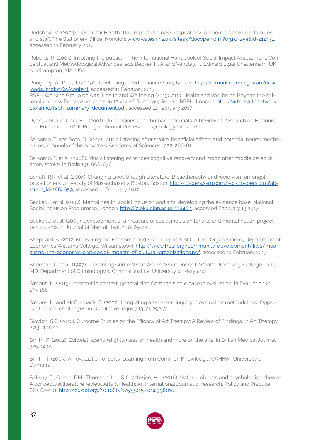Redshaw, M. (2004). Design for Health. The impact of a new hospital environment on children, families and staff, The Stationery Office, Norwich: [www.wales.nhs.uk/sites3/docopen.cfm?orgid=254&id=212431,](http://www.wales.nhs.uk/sites3/docopen.cfm?orgid=254&id=212431) accessed 11 February 2017

Roberts, R. (2003). Involving the public, in The International Handbook of Social Impact Assessment. Conceptual and Methodological Advances, eds Becker, H. A. and Vanclay, F., Edward Elgar Cheltenham, UK, Northampton, MA, USA.

Roughley, A. Dart, J. (2009). Developing a Performance Story Report: [http://nrmonline.nrm.gov.au/down](http://nrmonline.nrm.gov.au/downloads/mql:2162/content)[loads/mql:2162/content](http://nrmonline.nrm.gov.au/downloads/mql:2162/content), accessed 11 February 2017

RSPH Working Group on Arts, Health and Wellbeing (2013). Arts, Health and Wellbeing Beyond the Millennium: How far have we come in 15 years? Summary Report, RSPH, London: [http://artshealthnetwork.](http://artshealthnetwork.ca/ahnc/rsph_summary_document.pdf) [ca/ahnc/rsph\\_summary\\_document.pdf,](http://artshealthnetwork.ca/ahnc/rsph_summary_document.pdf) accessed 11 February 2017

Ryan, R.M. and Deci, E.L. (2001). On happiness and human potentials. A Review of Research on Hedonic and Eudaimonic Well-Being, in Annual Review of Psychology 52, 141-66.

Sarkamo, T. and Soto, D. (2012). Music listening after stroke: beneficial effects and potential neural mechanisms, in Annals of the New York Academy of Sciences 1252, 266-81.

Sarkamo, T. et al. (2008). Music listening enhances cognitive recovery and mood after middle cerebral artery stroke, in Brain 131, 866-876.

Schutt, R.K. et al. (2004). Changing Lives through Literature. Bibliotheraphy and recidivism amongst probationers. University of Massachusetts Boston, Boston: [http://papers.ssrn.com/sol3/papers.cfm?ab](http://papers.ssrn.com/sol3/papers.cfm?abstract_id=1884659)[stract\\_id=1884659](http://papers.ssrn.com/sol3/papers.cfm?abstract_id=1884659), accessed 11 February 2017

Secker, J. et al. (2007). Mental health, social inclusion and arts: developing the evidence base, National Social Inclusion Programme, London:<http://clok.uclan.ac.uk/3846/>, accessed February 13 2017

Secker, J. et al. (2009). Development of a measure of social inclusion for arts and mental health project participants, in Journal of Mental Health 18, 65-72.

Sheppard, S. (2012).Measuring the Economic and Social Impacts of Cultural Organizations, Department of Economics Williams College, Williamstown: [http://www.frbsf.org/community-development/files/mea]( http://www.frbsf.org/community-development/files/measuring-the-economic-and-social-impacts-of-cultu)[suring-the-economic-and-social-impacts-of-cultural-organizations.pdf,]( http://www.frbsf.org/community-development/files/measuring-the-economic-and-social-impacts-of-cultu) accessed 12 February 2017

Sherman, L. et al. (1997). Preventing Crime: What Works, What Doesn't, What's Promising, College Park, MD: Department of Criminology & Criminal Justice, University of Maryland

Simons, H. (2015). Interpret in context: generalizing from the single case in evaluation, in Evaluation 21, 173-188

Simons, H. and McCormack, B. (2007). Integrating arts-based inquiry in evaluation methodology. Opportunities and challenges, in Qualitative Inquiry 13 (2), 292-311.

Slayton, S.C. (2010). Outcome Studies on the Efficacy of Art Therapy: A Review of Findings, in Art Therapy 27(3), 108-11.

Smith, R. (2002). Editorial: spend (slightly) less on health and more on the arts, in British Medical Journal 325, 1432.

Smith, T. (2003). An evaluation of sorts: Learning from Common Knowledge, CAHHM, University of Durham.

Solway, R., Camic, P.M., Thomson, L. J. & Chatterjee, H.J. (2016). Material objects and psychological theory: A conceptual literature review. Arts & Health: An International Journal of research, Policy and Practice, 8(1), 82–101[. http://dx.doi.org/10.1080/17533015.2014.998010]( http://dx.doi.org/10.1080/17533015.2014.998010)

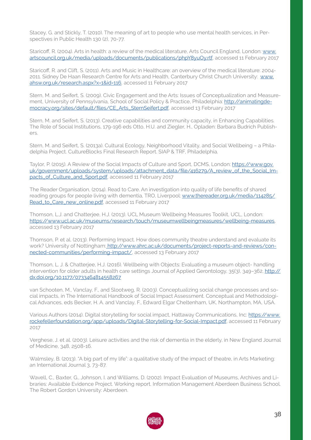Stacey, G. and Stickly, T. (2010). The meaning of art to people who use mental health services, in Perspectives in Public Health 130 (2), 70-77.

Staricoff, R. (2004). Arts in health: a review of the medical literature, Arts Council England, London: [www.](http://www.artscouncil.org.uk/media/uploads/documents/publications/phpY8yuOy.rtf) [artscouncil.org.uk/media/uploads/documents/publications/phpY8yuOy.rtf,](http://www.artscouncil.org.uk/media/uploads/documents/publications/phpY8yuOy.rtf) accessed 11 February 2017

Staricoff, R. and Clift, S. (2011). Arts and Music in Healthcare: an overview of the medical literature: 2004- 2011. Sidney De Haan Research Centre for Arts and Health, Canterbury Christ Church University: [www.](http://www.ahsw.org.uk/research.aspx?x=1&id=116) [ahsw.org.uk/research.aspx?x=1&id=116](http://www.ahsw.org.uk/research.aspx?x=1&id=116), accessed 11 February 2017

Stern, M. and Seifert, S. (2009). Civic Engagement and the Arts: Issues of Conceptualization and Measurement, University of Pennsylvania, School of Social Policy & Practice, Philadelphia: [http://animatingde](http://animatingdemocracy.org/sites/default/files/CE_Arts_SternSeifert.pdf)[mocracy.org/sites/default/files/CE\\_Arts\\_SternSeifert.pdf](http://animatingdemocracy.org/sites/default/files/CE_Arts_SternSeifert.pdf), accessed 13 February 2017

Stern, M. and Seifert, S. (2013). Creative capabilities and community capacity, in Enhancing Capabilities. The Role of Social Institutions, 179-196 eds Otto, H.U. and Ziegler, H., Opladen: Barbara Budrich Publish- $\cap rS$ 

Stern, M. and Seifert, S. (2013a). Cultural Ecology, Neighborhood Vitality, and Social Wellbeing – a Philadelphia Project. CultureBlocks Final Research Report. SIAP & TRF, Philadelphia.

Taylor, P. (2015). A Review of the Social Impacts of Culture and Sport, DCMS, London: [https://www.gov.](https://www.gov.uk/government/uploads/system/uploads/attachment_data/file/416279/A_review_of_the_Soc) [uk/government/uploads/system/uploads/attachment\\_data/file/416279/A\\_review\\_of\\_the\\_Social\\_Im](https://www.gov.uk/government/uploads/system/uploads/attachment_data/file/416279/A_review_of_the_Soc)[pacts\\_of\\_Culture\\_and\\_Sport.pdf](https://www.gov.uk/government/uploads/system/uploads/attachment_data/file/416279/A_review_of_the_Soc), accessed 11 February 2017

The Reader Organisation, (2014). Read to Care. An investigation into quality of life benefits of shared reading groups for people living with dementia, TRO, Liverpool: [www.thereader.org.uk/media/114285/](http://www.thereader.org.uk/media/114285/Read_to_Care_new_online.pdf) [Read\\_to\\_Care\\_new\\_online.pdf](http://www.thereader.org.uk/media/114285/Read_to_Care_new_online.pdf), accessed 11 February 2017

Thomson, L.J. and Chatterjee, H.J. (2013). UCL Museum Wellbeing Measures Toolkit, UCL, London: [https://www.ucl.ac.uk/museums/research/touch/museumwellbeingmeasures/wellbeing-measures,](https://www.ucl.ac.uk/museums/research/touch/museumwellbeingmeasures/wellbeing-measures) accessed 13 February 2017

Thomson, P. et al. (2013). Performing Impact. How does community theatre understand and evaluate its work? University of Nottingham[: http://www.ahrc.ac.uk/documents/project-reports-and-reviews/con]( http://www.ahrc.ac.uk/documents/project-reports-and-reviews/connected-communities/performing-impact)[nected-communities/performing-impact/,]( http://www.ahrc.ac.uk/documents/project-reports-and-reviews/connected-communities/performing-impact) accessed 13 February 2017

Thomson, L. J. & Chatterjee, H.J. (2016). Wellbeing with Objects: Evaluating a museum object- handling intervention for older adults in health care settings Journal of Applied Gerontology, 35(3), 349-362. [http://](http://dx.doi.org/10.1177/0733464814558267) [dx.doi.org/10.1177/0733464814558267](http://dx.doi.org/10.1177/0733464814558267)

van Schooten, M., Vanclay, F., and Slootweg, R. (2003). Conceptualizing social change processes and social impacts, in The International Handbook of Social Impact Assessment. Conceptual and Methodological Advances, eds Becker, H. A. and Vanclay, F., Edward Elgar Cheltenham, UK, Northampton, MA, USA.

Various Authors (2014). Digital storytelling for social impact, Hattaway Communications, Inc: [https://www.](https://www.rockefellerfoundation.org/app/uploads/Digital-Storytelling-for-Social-Impact.pdf) [rockefellerfoundation.org/app/uploads/Digital-Storytelling-for-Social-Impact.pdf](https://www.rockefellerfoundation.org/app/uploads/Digital-Storytelling-for-Social-Impact.pdf), accessed 11 February 2017

Verghese, J. et al. (2003). Leisure activities and the risk of dementia in the elderly, in New England Journal of Medicine, 348, 2508-16.

Walmsley, B. (2013). "A big part of my life": a qualitative study of the impact of theatre, in Arts Marketing: an International Journal 3, 73-87.

Wavell, C., Baxter, G., Johnson, I. and Williams, D. (2002). Impact Evaluation of Museums, Archives and Libraries: Available Evidence Project. Working report. Information Management Aberdeen Business School. The Robert Gordon University: Aberdeen.

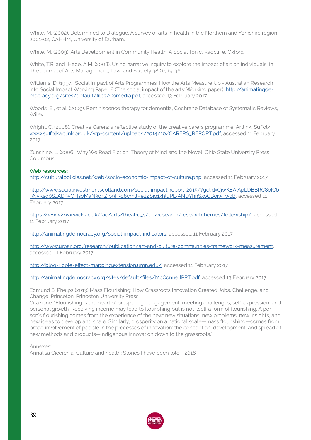White, M. (2002). Determined to Dialogue. A survey of arts in health in the Northern and Yorkshire region 2001-02, CAHHM, University of Durham.

White, M. (2009). Arts Development in Community Health. A Social Tonic, Radcliffe, Oxford.

White, T.R. and Hede, A.M. (2008). Using narrative inquiry to explore the impact of art on individuals, in The Journal of Arts Management, Law, and Society 38 (1), 19-36.

Williams, D. (1997). Social Impact of Arts Programmes: How the Arts Measure Up - Australian Research into Social Impact Working Paper 8 (The social impact of the arts: Working paper): [http://animatingde](http://animatingdemocracy.org/sites/default/files/Comedia.pdf)[mocracy.org/sites/default/files/Comedia.pdf](http://animatingdemocracy.org/sites/default/files/Comedia.pdf), accessed 13 February 2017

Woods, B., et al. (2009). Reminiscence therapy for dementia, Cochrane Database of Systematic Reviews, Wiley.

Wright, C. (2008). Creative Carers: a reflective study of the creative carers programme, Artlink, Suffolk: [www.suffolkartlink.org.uk/wp-content/uploads/2014/10/CARERS\\_REPORT.pdf](http://www.suffolkartlink.org.uk/wp-content/uploads/2014/10/CARERS_REPORT.pdf), accessed 11 February 2017

Zunshine, L. (2006). Why We Read Fiction. Theory of Mind and the Novel, Ohio State University Press, Columbus.

#### **Web resources:**

[http://culturalpolicies.net/web/socio-economic-impact-of-culture.php,](http://culturalpolicies.net/web/socio-economic-impact-of-culture.php) accessed 11 February 2017

[http://www.socialinvestmentscotland.com/social-impact-report-2015/?gclid=CjwKEAiApLDBBRC8oICb-](http://www.socialinvestmentscotland.com/social-impact-report-2015/?gclid=CjwKEAiApLDBBRC8oICb9NvKsg0)[9NvKsg0SJAD9yOHsoMaN3o4Zjp9F3d8cmllPe2ZSjq1xhluPL-ANDYhnSxoCBojw\\_wcB](http://www.socialinvestmentscotland.com/social-impact-report-2015/?gclid=CjwKEAiApLDBBRC8oICb9NvKsg0), accessed 11 February 2017

[https://www2.warwick.ac.uk/fac/arts/theatre\\_s/cp/research/researchthemes/fellowship/](https://www2.warwick.ac.uk/fac/arts/theatre_s/cp/research/researchthemes/fellowship/), accessed 11 February 2017

[http://animatingdemocracy.org/social-impact-indicators,](http://animatingdemocracy.org/social-impact-indicators) accessed 11 February 2017

[http://www.urban.org/research/publication/art-and-culture-communities-framework-measurement,](http://www.urban.org/research/publication/art-and-culture-communities-framework-measurement) accessed 11 February 2017

<http://blog-ripple-effect-mapping.extension.umn.edu/>, accessed 11 February 2017

<http://animatingdemocracy.org/sites/default/files/McConnellPPT.pdf>, accessed 13 February 2017

Edmund S. Phelps (2013) Mass Flourishing: How Grassroots Innovation Created Jobs, Challenge, and Change. Princeton: Princeton University Press.

Citazione: "Flourishing is the heart of prospering—engagement, meeting challenges, self-expression, and personal growth. Receiving income may lead to flourishing but is not itself a form of flourishing. A person's flourishing comes from the experience of the new: new situations, new problems, new insights, and new ideas to develop and share. Similarly, prosperity on a national scale—mass flourishing—comes from broad involvement of people in the processes of innovation: the conception, development, and spread of new methods and products—indigenous innovation down to the grassroots."

Annexes:

Annalisa Cicerchia, Culture and health: Stories I have been told - 2016